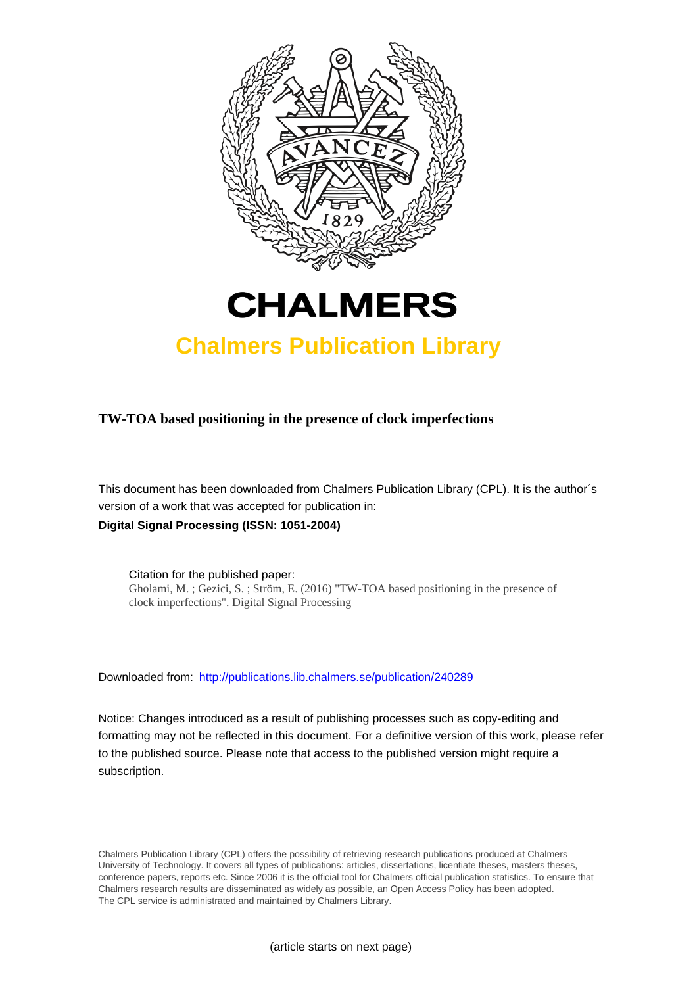

# **CHALMERS**

## **Chalmers Publication Library**

**TW-TOA based positioning in the presence of clock imperfections**

This document has been downloaded from Chalmers Publication Library (CPL). It is the author´s version of a work that was accepted for publication in: **Digital Signal Processing (ISSN: 1051-2004)**

Citation for the published paper: Gholami, M. ; Gezici, S. ; Ström, E. (2016) "TW-TOA based positioning in the presence of clock imperfections". Digital Signal Processing

Downloaded from: <http://publications.lib.chalmers.se/publication/240289>

Notice: Changes introduced as a result of publishing processes such as copy-editing and formatting may not be reflected in this document. For a definitive version of this work, please refer to the published source. Please note that access to the published version might require a subscription.

Chalmers Publication Library (CPL) offers the possibility of retrieving research publications produced at Chalmers University of Technology. It covers all types of publications: articles, dissertations, licentiate theses, masters theses, conference papers, reports etc. Since 2006 it is the official tool for Chalmers official publication statistics. To ensure that Chalmers research results are disseminated as widely as possible, an Open Access Policy has been adopted. The CPL service is administrated and maintained by Chalmers Library.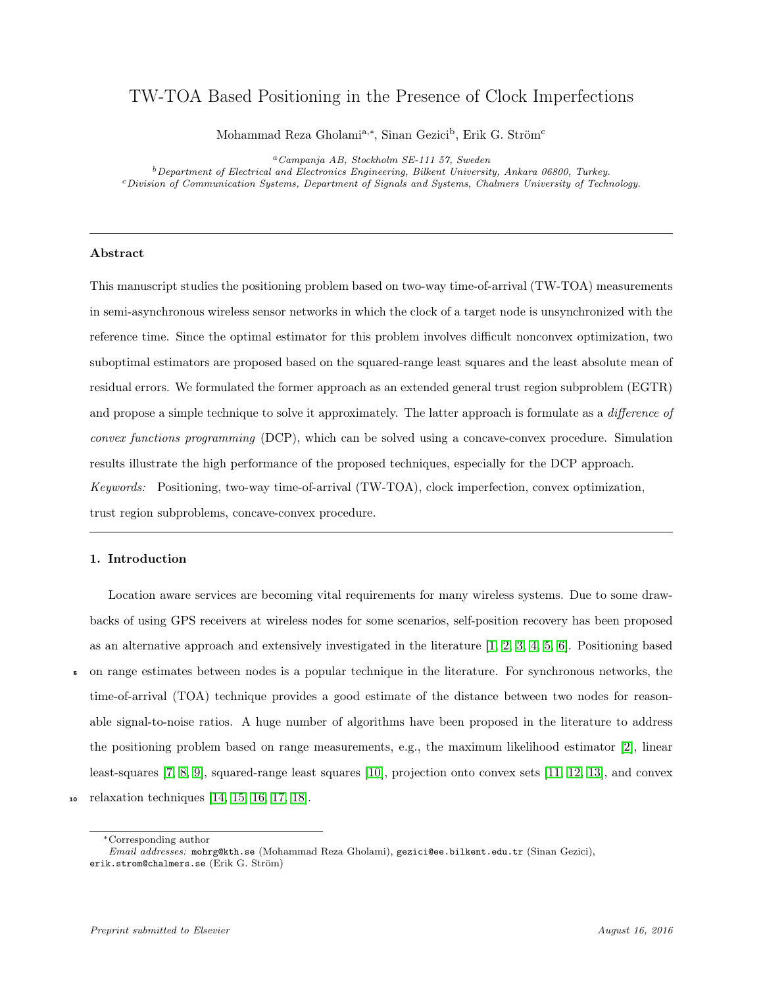## TW-TOA Based Positioning in the Presence of Clock Imperfections

Mohammad Reza Gholami<sup>a,∗</sup>, Sinan Gezici<sup>b</sup>, Erik G. Ström<sup>c</sup>

<sup>a</sup>Campanja AB, Stockholm SE-111 57, Sweden  $^{b}$  Department of Electrical and Electronics Engineering, Bilkent University, Ankara 06800, Turkey. <sup>c</sup>Division of Communication Systems, Department of Signals and Systems, Chalmers University of Technology.

#### Abstract

This manuscript studies the positioning problem based on two-way time-of-arrival (TW-TOA) measurements in semi-asynchronous wireless sensor networks in which the clock of a target node is unsynchronized with the reference time. Since the optimal estimator for this problem involves difficult nonconvex optimization, two suboptimal estimators are proposed based on the squared-range least squares and the least absolute mean of residual errors. We formulated the former approach as an extended general trust region subproblem (EGTR) and propose a simple technique to solve it approximately. The latter approach is formulate as a *difference of* convex functions programming (DCP), which can be solved using a concave-convex procedure. Simulation results illustrate the high performance of the proposed techniques, especially for the DCP approach. Keywords: Positioning, two-way time-of-arrival (TW-TOA), clock imperfection, convex optimization, trust region subproblems, concave-convex procedure.

#### 1. Introduction

Location aware services are becoming vital requirements for many wireless systems. Due to some drawbacks of using GPS receivers at wireless nodes for some scenarios, self-position recovery has been proposed as an alternative approach and extensively investigated in the literature [\[1,](#page-21-0) [2,](#page-22-0) [3,](#page-22-1) [4,](#page-22-2) [5,](#page-22-3) [6\]](#page-22-4). Positioning based <sup>5</sup> on range estimates between nodes is a popular technique in the literature. For synchronous networks, the time-of-arrival (TOA) technique provides a good estimate of the distance between two nodes for reasonable signal-to-noise ratios. A huge number of algorithms have been proposed in the literature to address the positioning problem based on range measurements, e.g., the maximum likelihood estimator [\[2\]](#page-22-0), linear least-squares [\[7,](#page-22-5) [8,](#page-22-6) [9\]](#page-22-7), squared-range least squares [\[10\]](#page-22-8), projection onto convex sets [\[11,](#page-22-9) [12,](#page-22-10) [13\]](#page-23-0), and convex <sup>10</sup> relaxation techniques [\[14,](#page-23-1) [15,](#page-23-2) [16,](#page-23-3) [17,](#page-23-4) [18\]](#page-23-5).

<sup>∗</sup>Corresponding author

Email addresses: mohrg@kth.se (Mohammad Reza Gholami), gezici@ee.bilkent.edu.tr (Sinan Gezici), erik.strom@chalmers.se (Erik G. Ström)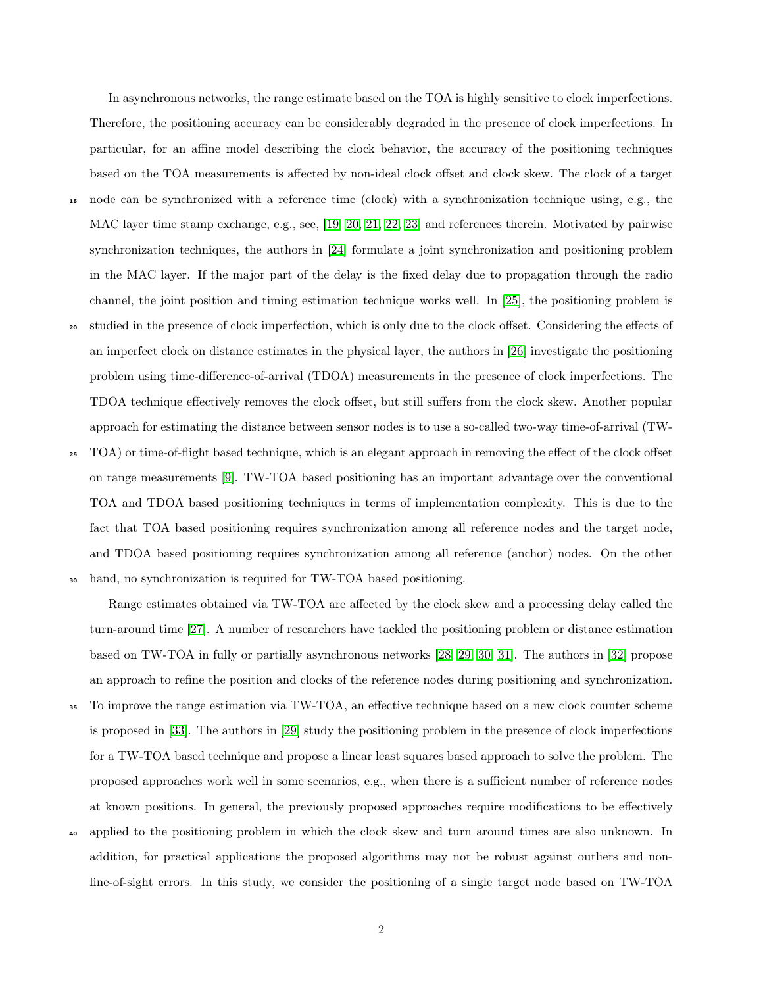In asynchronous networks, the range estimate based on the TOA is highly sensitive to clock imperfections. Therefore, the positioning accuracy can be considerably degraded in the presence of clock imperfections. In particular, for an affine model describing the clock behavior, the accuracy of the positioning techniques based on the TOA measurements is affected by non-ideal clock offset and clock skew. The clock of a target <sup>15</sup> node can be synchronized with a reference time (clock) with a synchronization technique using, e.g., the MAC layer time stamp exchange, e.g., see, [\[19,](#page-23-6) [20,](#page-23-7) [21,](#page-23-8) [22,](#page-23-9) [23\]](#page-23-10) and references therein. Motivated by pairwise synchronization techniques, the authors in [\[24\]](#page-23-11) formulate a joint synchronization and positioning problem in the MAC layer. If the major part of the delay is the fixed delay due to propagation through the radio channel, the joint position and timing estimation technique works well. In [\[25\]](#page-23-12), the positioning problem is <sup>20</sup> studied in the presence of clock imperfection, which is only due to the clock offset. Considering the effects of an imperfect clock on distance estimates in the physical layer, the authors in [\[26\]](#page-24-0) investigate the positioning problem using time-difference-of-arrival (TDOA) measurements in the presence of clock imperfections. The TDOA technique effectively removes the clock offset, but still suffers from the clock skew. Another popular

<sup>25</sup> TOA) or time-of-flight based technique, which is an elegant approach in removing the effect of the clock offset on range measurements [\[9\]](#page-22-7). TW-TOA based positioning has an important advantage over the conventional TOA and TDOA based positioning techniques in terms of implementation complexity. This is due to the fact that TOA based positioning requires synchronization among all reference nodes and the target node, and TDOA based positioning requires synchronization among all reference (anchor) nodes. On the other <sup>30</sup> hand, no synchronization is required for TW-TOA based positioning.

approach for estimating the distance between sensor nodes is to use a so-called two-way time-of-arrival (TW-

Range estimates obtained via TW-TOA are affected by the clock skew and a processing delay called the turn-around time [\[27\]](#page-24-1). A number of researchers have tackled the positioning problem or distance estimation based on TW-TOA in fully or partially asynchronous networks [\[28,](#page-24-2) [29,](#page-24-3) [30,](#page-24-4) [31\]](#page-24-5). The authors in [\[32\]](#page-24-6) propose an approach to refine the position and clocks of the reference nodes during positioning and synchronization. <sup>35</sup> To improve the range estimation via TW-TOA, an effective technique based on a new clock counter scheme is proposed in [\[33\]](#page-24-7). The authors in [\[29\]](#page-24-3) study the positioning problem in the presence of clock imperfections for a TW-TOA based technique and propose a linear least squares based approach to solve the problem. The proposed approaches work well in some scenarios, e.g., when there is a sufficient number of reference nodes at known positions. In general, the previously proposed approaches require modifications to be effectively

<sup>40</sup> applied to the positioning problem in which the clock skew and turn around times are also unknown. In addition, for practical applications the proposed algorithms may not be robust against outliers and nonline-of-sight errors. In this study, we consider the positioning of a single target node based on TW-TOA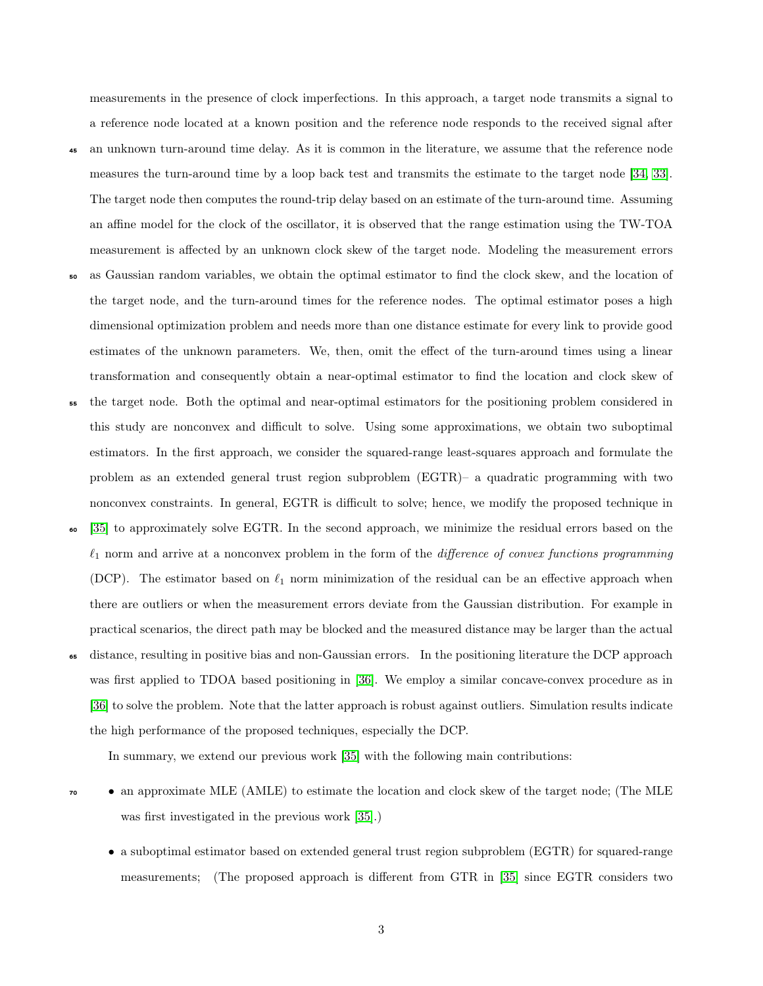measurements in the presence of clock imperfections. In this approach, a target node transmits a signal to a reference node located at a known position and the reference node responds to the received signal after <sup>45</sup> an unknown turn-around time delay. As it is common in the literature, we assume that the reference node measures the turn-around time by a loop back test and transmits the estimate to the target node [\[34,](#page-24-8) [33\]](#page-24-7). The target node then computes the round-trip delay based on an estimate of the turn-around time. Assuming an affine model for the clock of the oscillator, it is observed that the range estimation using the TW-TOA measurement is affected by an unknown clock skew of the target node. Modeling the measurement errors <sup>50</sup> as Gaussian random variables, we obtain the optimal estimator to find the clock skew, and the location of the target node, and the turn-around times for the reference nodes. The optimal estimator poses a high dimensional optimization problem and needs more than one distance estimate for every link to provide good

transformation and consequently obtain a near-optimal estimator to find the location and clock skew of <sup>55</sup> the target node. Both the optimal and near-optimal estimators for the positioning problem considered in this study are nonconvex and difficult to solve. Using some approximations, we obtain two suboptimal estimators. In the first approach, we consider the squared-range least-squares approach and formulate the problem as an extended general trust region subproblem (EGTR)– a quadratic programming with two nonconvex constraints. In general, EGTR is difficult to solve; hence, we modify the proposed technique in

estimates of the unknown parameters. We, then, omit the effect of the turn-around times using a linear

- <sup>60</sup> [\[35\]](#page-24-9) to approximately solve EGTR. In the second approach, we minimize the residual errors based on the  $\ell_1$  norm and arrive at a nonconvex problem in the form of the *difference of convex functions programming* (DCP). The estimator based on  $\ell_1$  norm minimization of the residual can be an effective approach when there are outliers or when the measurement errors deviate from the Gaussian distribution. For example in practical scenarios, the direct path may be blocked and the measured distance may be larger than the actual
- distance, resulting in positive bias and non-Gaussian errors. In the positioning literature the DCP approach was first applied to TDOA based positioning in [\[36\]](#page-24-10). We employ a similar concave-convex procedure as in [\[36\]](#page-24-10) to solve the problem. Note that the latter approach is robust against outliers. Simulation results indicate the high performance of the proposed techniques, especially the DCP.

In summary, we extend our previous work [\[35\]](#page-24-9) with the following main contributions:

- <sup>70</sup> an approximate MLE (AMLE) to estimate the location and clock skew of the target node; (The MLE was first investigated in the previous work [\[35\]](#page-24-9).)
	- a suboptimal estimator based on extended general trust region subproblem (EGTR) for squared-range measurements; (The proposed approach is different from GTR in [\[35\]](#page-24-9) since EGTR considers two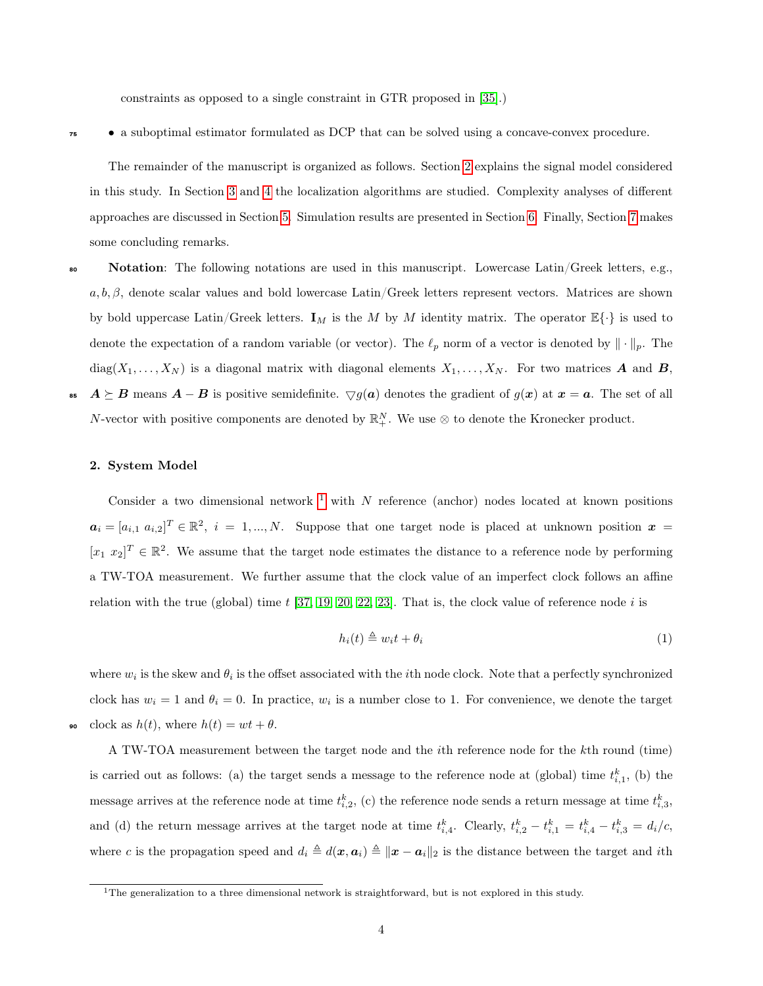constraints as opposed to a single constraint in GTR proposed in [\[35\]](#page-24-9).)

<sup>75</sup> • a suboptimal estimator formulated as DCP that can be solved using a concave-convex procedure.

The remainder of the manuscript is organized as follows. Section [2](#page-4-0) explains the signal model considered in this study. In Section [3](#page-6-0) and [4](#page-7-0) the localization algorithms are studied. Complexity analyses of different approaches are discussed in Section [5.](#page-13-0) Simulation results are presented in Section [6.](#page-14-0) Finally, Section [7](#page-17-0) makes some concluding remarks.

- **Notation:** The following notations are used in this manuscript. Lowercase Latin/Greek letters, e.g.,  $a, b, \beta$ , denote scalar values and bold lowercase Latin/Greek letters represent vectors. Matrices are shown by bold uppercase Latin/Greek letters.  $I_M$  is the M by M identity matrix. The operator  $\mathbb{E}\{\cdot\}$  is used to denote the expectation of a random variable (or vector). The  $\ell_p$  norm of a vector is denoted by  $\|\cdot\|_p$ . The  $diag(X_1, \ldots, X_N)$  is a diagonal matrix with diagonal elements  $X_1, \ldots, X_N$ . For two matrices **A** and **B**, 85  $A \succeq B$  means  $A - B$  is positive semidefinite.  $\bigtriangledown g(a)$  denotes the gradient of  $g(x)$  at  $x = a$ . The set of all
	- N-vector with positive components are denoted by  $\mathbb{R}^N_+$ . We use  $\otimes$  to denote the Kronecker product.

#### <span id="page-4-0"></span>2. System Model

Consider a two dimensional network  $1$  with N reference (anchor) nodes located at known positions  $a_i = [a_{i,1}, a_{i,2}]^T \in \mathbb{R}^2$ ,  $i = 1, ..., N$ . Suppose that one target node is placed at unknown position  $x =$  $[x_1 \ x_2]^T \in \mathbb{R}^2$ . We assume that the target node estimates the distance to a reference node by performing a TW-TOA measurement. We further assume that the clock value of an imperfect clock follows an affine relation with the true (global) time  $t$  [\[37,](#page-24-11) [19,](#page-23-6) [20,](#page-23-7) [22,](#page-23-9) [23\]](#page-23-10). That is, the clock value of reference node  $i$  is

$$
h_i(t) \triangleq w_i t + \theta_i \tag{1}
$$

where  $w_i$  is the skew and  $\theta_i$  is the offset associated with the *i*th node clock. Note that a perfectly synchronized clock has  $w_i = 1$  and  $\theta_i = 0$ . In practice,  $w_i$  is a number close to 1. For convenience, we denote the target clock as  $h(t)$ , where  $h(t) = wt + \theta$ .

A TW-TOA measurement between the target node and the ith reference node for the kth round (time) is carried out as follows: (a) the target sends a message to the reference node at (global) time  $t_{i,1}^k$ , (b) the message arrives at the reference node at time  $t_{i,2}^k$ , (c) the reference node sends a return message at time  $t_{i,3}^k$ , and (d) the return message arrives at the target node at time  $t_{i,4}^k$ . Clearly,  $t_{i,2}^k - t_{i,1}^k = t_{i,4}^k - t_{i,3}^k = d_i/c$ , where c is the propagation speed and  $d_i \triangleq d(x, a_i) \triangleq ||x - a_i||_2$  is the distance between the target and ith

<span id="page-4-1"></span><sup>&</sup>lt;sup>1</sup>The generalization to a three dimensional network is straightforward, but is not explored in this study.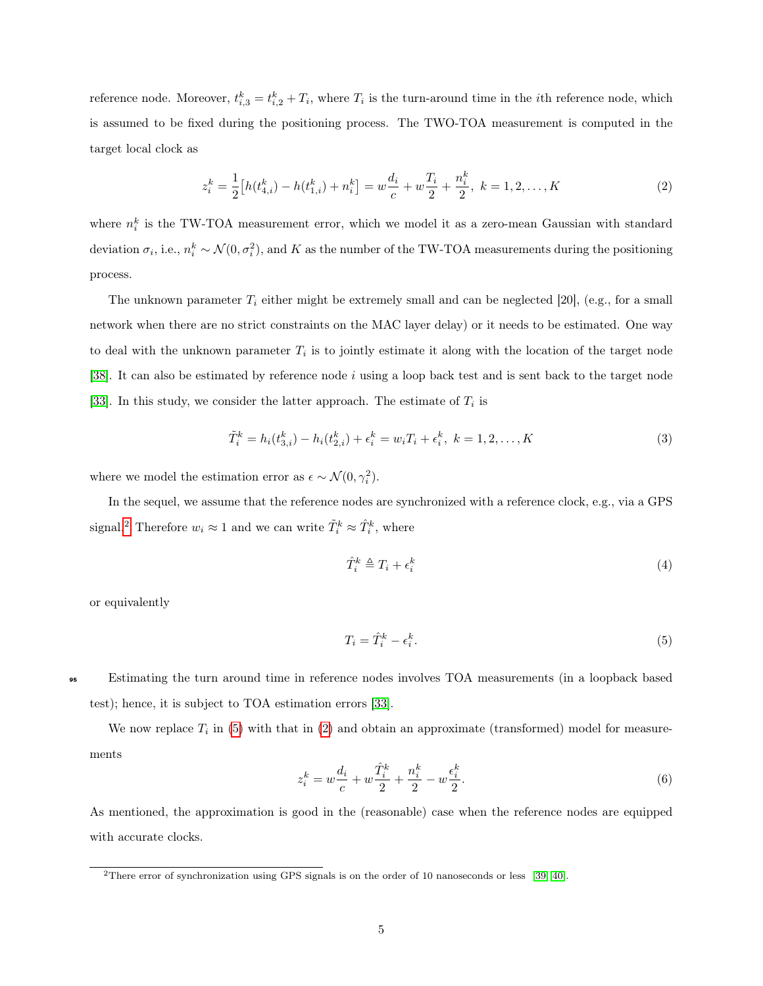reference node. Moreover,  $t_{i,3}^k = t_{i,2}^k + T_i$ , where  $T_i$  is the turn-around time in the *i*th reference node, which is assumed to be fixed during the positioning process. The TWO-TOA measurement is computed in the target local clock as

<span id="page-5-2"></span>
$$
z_i^k = \frac{1}{2} \left[ h(t_{4,i}^k) - h(t_{1,i}^k) + n_i^k \right] = w \frac{d_i}{c} + w \frac{T_i}{2} + \frac{n_i^k}{2}, \ k = 1, 2, \dots, K
$$
 (2)

where  $n_i^k$  is the TW-TOA measurement error, which we model it as a zero-mean Gaussian with standard deviation  $\sigma_i$ , i.e.,  $n_i^k \sim \mathcal{N}(0, \sigma_i^2)$ , and K as the number of the TW-TOA measurements during the positioning process.

The unknown parameter  $T_i$  either might be extremely small and can be neglected [20], (e.g., for a small network when there are no strict constraints on the MAC layer delay) or it needs to be estimated. One way to deal with the unknown parameter  $T_i$  is to jointly estimate it along with the location of the target node [\[38\]](#page-25-0). It can also be estimated by reference node i using a loop back test and is sent back to the target node [\[33\]](#page-24-7). In this study, we consider the latter approach. The estimate of  $T_i$  is

$$
\tilde{T}_i^k = h_i(t_{3,i}^k) - h_i(t_{2,i}^k) + \epsilon_i^k = w_i T_i + \epsilon_i^k, \ k = 1, 2, \dots, K
$$
\n(3)

where we model the estimation error as  $\epsilon \sim \mathcal{N}(0, \gamma_i^2)$ .

In the sequel, we assume that the reference nodes are synchronized with a reference clock, e.g., via a GPS signal.<sup>[2](#page-5-0)</sup> Therefore  $w_i \approx 1$  and we can write  $\tilde{T}_i^k \approx \hat{T}_i^k$ , where

<span id="page-5-3"></span><span id="page-5-1"></span>
$$
\hat{T}_i^k \triangleq T_i + \epsilon_i^k \tag{4}
$$

or equivalently

$$
T_i = \hat{T}_i^k - \epsilon_i^k. \tag{5}
$$

<sup>95</sup> Estimating the turn around time in reference nodes involves TOA measurements (in a loopback based test); hence, it is subject to TOA estimation errors [\[33\]](#page-24-7).

<span id="page-5-4"></span>We now replace  $T_i$  in [\(5\)](#page-5-1) with that in [\(2\)](#page-5-2) and obtain an approximate (transformed) model for measurements

$$
z_i^k = w \frac{d_i}{c} + w \frac{\hat{T}_i^k}{2} + \frac{n_i^k}{2} - w \frac{\epsilon_i^k}{2}.
$$
 (6)

As mentioned, the approximation is good in the (reasonable) case when the reference nodes are equipped with accurate clocks.

<span id="page-5-0"></span><sup>&</sup>lt;sup>2</sup>There error of synchronization using GPS signals is on the order of 10 nanoseconds or less [\[39,](#page-25-1) [40\]](#page-25-2).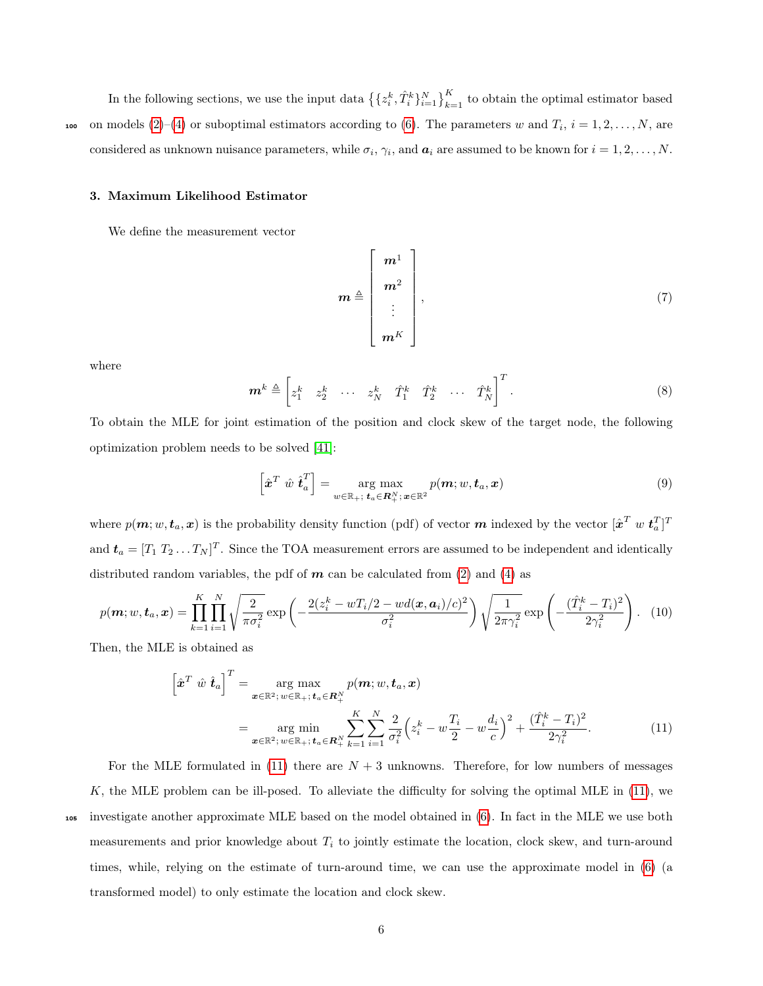In the following sections, we use the input data  $\left\{\{z_i^k, \hat{T}_i^k\}_{i=1}^N\right\}_{k=1}^K$  to obtain the optimal estimator based non models  $(2)-(4)$  $(2)-(4)$  $(2)-(4)$  or suboptimal estimators according to  $(6)$ . The parameters w and  $T_i$ ,  $i = 1, 2, ..., N$ , are considered as unknown nuisance parameters, while  $\sigma_i$ ,  $\gamma_i$ , and  $a_i$  are assumed to be known for  $i = 1, 2, ..., N$ .

#### <span id="page-6-0"></span>3. Maximum Likelihood Estimator

We define the measurement vector

<span id="page-6-2"></span>
$$
\boldsymbol{m} \triangleq \begin{bmatrix} \boldsymbol{m}^{1} \\ \boldsymbol{m}^{2} \\ \vdots \\ \boldsymbol{m}^{K} \end{bmatrix}, \qquad (7)
$$

where

$$
\boldsymbol{m}^k \triangleq \begin{bmatrix} z_1^k & z_2^k & \cdots & z_N^k & \hat{T}_1^k & \hat{T}_2^k & \cdots & \hat{T}_N^k \end{bmatrix}^T.
$$
 (8)

To obtain the MLE for joint estimation of the position and clock skew of the target node, the following optimization problem needs to be solved [\[41\]](#page-25-3):

<span id="page-6-1"></span>
$$
\left[\hat{\boldsymbol{x}}^T \ \hat{w} \ \hat{\boldsymbol{t}}_a^T\right] = \underset{w \in \mathbb{R}_+; \ \boldsymbol{t}_a \in \mathbb{R}_+^N; \ \boldsymbol{x} \in \mathbb{R}^2}{\arg \max} p(\boldsymbol{m}; w, \boldsymbol{t}_a, \boldsymbol{x}) \tag{9}
$$

where  $p(m; w, t_a, x)$  is the probability density function (pdf) of vector  $m$  indexed by the vector  $[\hat{x}^T w t_a^T]^T$ and  $t_a = [T_1 T_2 ... T_N]^T$ . Since the TOA measurement errors are assumed to be independent and identically distributed random variables, the pdf of  $m$  can be calculated from [\(2\)](#page-5-2) and [\(4\)](#page-5-3) as

$$
p(\boldsymbol{m}; w, \boldsymbol{t}_a, \boldsymbol{x}) = \prod_{k=1}^K \prod_{i=1}^N \sqrt{\frac{2}{\pi \sigma_i^2}} \exp\left(-\frac{2(z_i^k - w_i^2/2 - w_i^d(\boldsymbol{x}, \boldsymbol{a}_i)/c)^2}{\sigma_i^2}\right) \sqrt{\frac{1}{2\pi \gamma_i^2}} \exp\left(-\frac{(\hat{T}_i^k - T_i)^2}{2\gamma_i^2}\right).
$$
 (10)

Then, the MLE is obtained as

$$
\begin{aligned}\n\left[\hat{\mathbf{x}}^T \ \hat{w} \ \hat{\boldsymbol{t}}_a\right]^T &= \arg \max_{\mathbf{x} \in \mathbb{R}^2; \ w \in \mathbb{R}_+; \ \mathbf{t}_a \in \mathbb{R}_+^N} p(\mathbf{m}; w, \mathbf{t}_a, \mathbf{x}) \\
&= \arg \min_{\mathbf{x} \in \mathbb{R}^2; \ w \in \mathbb{R}_+; \ \mathbf{t}_a \in \mathbb{R}_+^N} \sum_{k=1}^K \sum_{i=1}^N \frac{2}{\sigma_i^2} \left(z_i^k - w \frac{T_i}{2} - w \frac{d_i}{c}\right)^2 + \frac{(\hat{T}_i^k - T_i)^2}{2\gamma_i^2}.\n\end{aligned} \tag{11}
$$

K, the MLE problem can be ill-posed. To alleviate the difficulty for solving the optimal MLE in [\(11\)](#page-6-1), we <sup>105</sup> investigate another approximate MLE based on the model obtained in [\(6\)](#page-5-4). In fact in the MLE we use both measurements and prior knowledge about  $T_i$  to jointly estimate the location, clock skew, and turn-around times, while, relying on the estimate of turn-around time, we can use the approximate model in [\(6\)](#page-5-4) (a transformed model) to only estimate the location and clock skew.

For the MLE formulated in  $(11)$  there are  $N + 3$  unknowns. Therefore, for low numbers of messages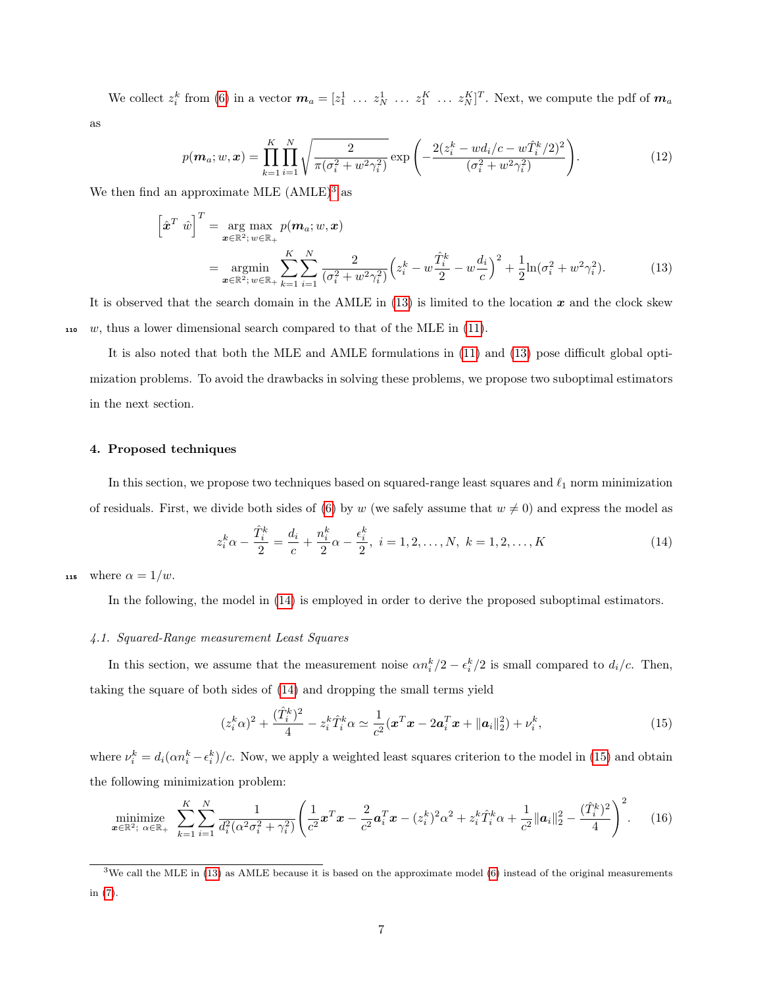We collect  $z_i^k$  from [\(6\)](#page-5-4) in a vector  $\boldsymbol{m}_a = [z_1^1 \dots z_N^1 \dots z_1^K \dots z_N^K]^T$ . Next, we compute the pdf of  $\boldsymbol{m}_a$ 

as

<span id="page-7-2"></span>
$$
p(\boldsymbol{m}_a; w, \boldsymbol{x}) = \prod_{k=1}^K \prod_{i=1}^N \sqrt{\frac{2}{\pi(\sigma_i^2 + w^2 \gamma_i^2)}} \exp\left(-\frac{2(z_i^k - wd_i/c - w\hat{T}_i^k/2)^2}{(\sigma_i^2 + w^2 \gamma_i^2)}\right).
$$
(12)

We then find an approximate MLE  $(AMLE)^3$  $(AMLE)^3$  as

$$
\begin{aligned}\n\left[\hat{\mathbf{x}}^T \ \hat{w}\right]^T &= \arg \max_{\mathbf{x} \in \mathbb{R}^2; \ w \in \mathbb{R}_+} p(\mathbf{m}_a; w, \mathbf{x}) \\
&= \arg \min_{\mathbf{x} \in \mathbb{R}^2; \ w \in \mathbb{R}_+} \sum_{k=1}^K \sum_{i=1}^N \frac{2}{(\sigma_i^2 + w^2 \gamma_i^2)} \left(z_i^k - w \frac{\hat{T}_i^k}{2} - w \frac{d_i}{c}\right)^2 + \frac{1}{2} \ln(\sigma_i^2 + w^2 \gamma_i^2).\n\end{aligned} \tag{13}
$$

It is observed that the search domain in the AMLE in  $(13)$  is limited to the location x and the clock skew 110 w, thus a lower dimensional search compared to that of the MLE in  $(11)$ .

It is also noted that both the MLE and AMLE formulations in [\(11\)](#page-6-1) and [\(13\)](#page-7-2) pose difficult global optimization problems. To avoid the drawbacks in solving these problems, we propose two suboptimal estimators in the next section.

#### <span id="page-7-0"></span>4. Proposed techniques

In this section, we propose two techniques based on squared-range least squares and  $\ell_1$  norm minimization of residuals. First, we divide both sides of [\(6\)](#page-5-4) by w (we safely assume that  $w \neq 0$ ) and express the model as

<span id="page-7-3"></span>
$$
z_i^k \alpha - \frac{\hat{T}_i^k}{2} = \frac{d_i}{c} + \frac{n_i^k}{2} \alpha - \frac{\epsilon_i^k}{2}, \ i = 1, 2, \dots, N, \ k = 1, 2, \dots, K
$$
 (14)

115 where  $\alpha = 1/w$ .

In the following, the model in [\(14\)](#page-7-3) is employed in order to derive the proposed suboptimal estimators.

## 4.1. Squared-Range measurement Least Squares

In this section, we assume that the measurement noise  $\alpha n_i^k/2 - \epsilon_i^k/2$  is small compared to  $d_i/c$ . Then, taking the square of both sides of [\(14\)](#page-7-3) and dropping the small terms yield

<span id="page-7-5"></span><span id="page-7-4"></span>
$$
(z_i^k \alpha)^2 + \frac{(\hat{T}_i^k)^2}{4} - z_i^k \hat{T}_i^k \alpha \simeq \frac{1}{c^2} (\boldsymbol{x}^T \boldsymbol{x} - 2 \boldsymbol{a}_i^T \boldsymbol{x} + ||\boldsymbol{a}_i||_2^2) + \nu_i^k, \tag{15}
$$

where  $\nu_i^k = d_i(\alpha n_i^k - \epsilon_i^k)/c$ . Now, we apply a weighted least squares criterion to the model in [\(15\)](#page-7-4) and obtain the following minimization problem:

$$
\underset{\mathbf{x} \in \mathbb{R}^2; \ \alpha \in \mathbb{R}_+}{\text{minimize}} \ \sum_{k=1}^K \sum_{i=1}^N \frac{1}{d_i^2 (\alpha^2 \sigma_i^2 + \gamma_i^2)} \left( \frac{1}{c^2} \mathbf{x}^T \mathbf{x} - \frac{2}{c^2} \mathbf{a}_i^T \mathbf{x} - (z_i^k)^2 \alpha^2 + z_i^k \hat{T}_i^k \alpha + \frac{1}{c^2} ||\mathbf{a}_i||_2^2 - \frac{(\hat{T}_i^k)^2}{4} \right)^2.
$$
 (16)

<span id="page-7-1"></span> $3$ We call the MLE in [\(13\)](#page-7-2) as AMLE because it is based on the approximate model [\(6\)](#page-5-4) instead of the original measurements in [\(7\)](#page-6-2).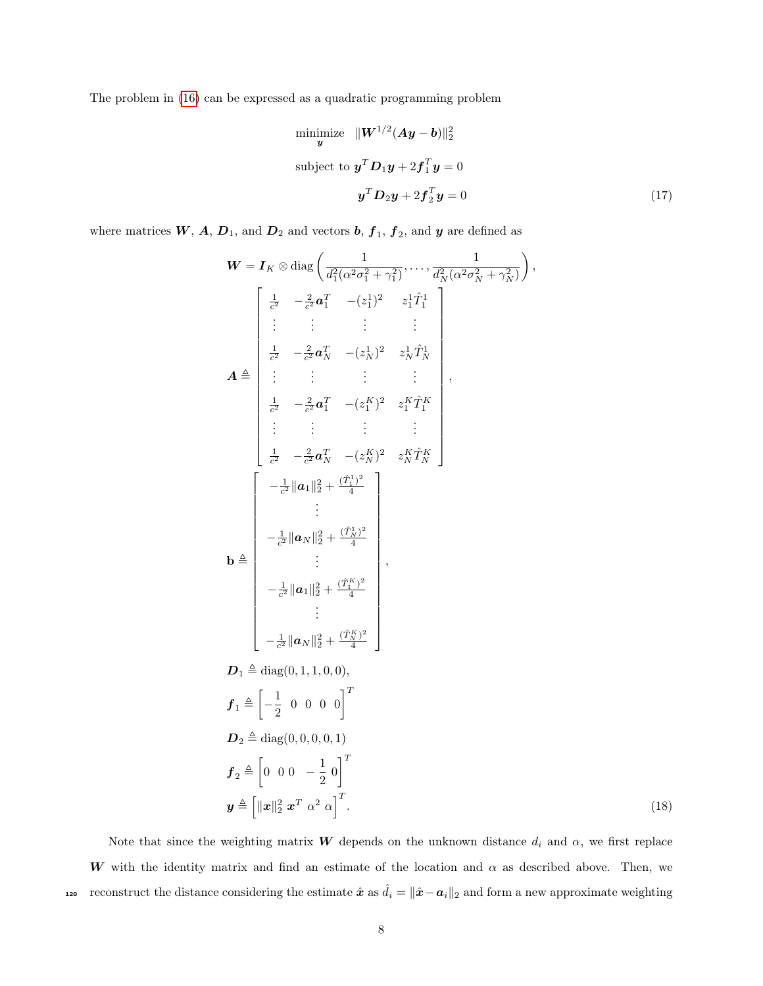The problem in [\(16\)](#page-7-5) can be expressed as a quadratic programming problem

<span id="page-8-0"></span>minimize 
$$
\|\mathbf{W}^{1/2}(\mathbf{A}\mathbf{y}-\mathbf{b})\|_2^2
$$
  
subject to 
$$
\mathbf{y}^T \mathbf{D}_1 \mathbf{y} + 2\mathbf{f}_1^T \mathbf{y} = 0
$$

$$
\mathbf{y}^T \mathbf{D}_2 \mathbf{y} + 2\mathbf{f}_2^T \mathbf{y} = 0
$$
(17)

where matrices  $W$ ,  $A$ ,  $D_1$ , and  $D_2$  and vectors  $b$ ,  $f_1$ ,  $f_2$ , and  $y$  are defined as

$$
\mathbf{W} = \mathbf{I}_{K} \otimes \text{diag}\left(\frac{1}{d_{1}^{2}(\alpha^{2}\sigma_{1}^{2} + \gamma_{1}^{2})}, \dots, \frac{1}{d_{N}^{2}(\alpha^{2}\sigma_{N}^{2} + \gamma_{N}^{2})}\right),
$$
\n
$$
\mathbf{A} \stackrel{\text{def}}{=} \begin{bmatrix}\n\frac{1}{c^{2}} & -\frac{2}{c^{2}} \mathbf{a}_{1}^{T} & -(z_{1}^{1})^{2} & z_{1}^{1} \hat{T}_{1}^{1} \\
\vdots & \vdots & \vdots & \vdots \\
\frac{1}{c^{2}} & -\frac{2}{c^{2}} \mathbf{a}_{N}^{T} & -(z_{N}^{1})^{2} & z_{N}^{1} \hat{T}_{N}^{1} \\
\vdots & \vdots & \vdots & \vdots \\
\frac{1}{c^{2}} & -\frac{2}{c^{2}} \mathbf{a}_{1}^{T} & -(z_{1}^{K})^{2} & z_{1}^{K} \hat{T}_{1}^{K} \\
\vdots & \vdots & \vdots & \vdots \\
\frac{1}{c^{2}} & -\frac{2}{c^{2}} \mathbf{a}_{N}^{T} & -(z_{N}^{K})^{2} & z_{N}^{K} \hat{T}_{N}^{K}\n\end{bmatrix}
$$
\n
$$
\mathbf{b} \triangleq \begin{bmatrix}\n-\frac{1}{c^{2}} ||\mathbf{a}_{1}||_{2}^{2} + \frac{(\hat{T}_{N}^{1})^{2}}{4} \\
\vdots & \vdots \\
-\frac{1}{c^{2}} ||\mathbf{a}_{N}||_{2}^{2} + \frac{(\hat{T}_{N}^{K})^{2}}{4} \\
\vdots \\
-\frac{1}{c^{2}} ||\mathbf{a}_{N}||_{2}^{2} + \frac{(\hat{T}_{N}^{K})^{2}}{4}\n\end{bmatrix},
$$
\n
$$
\mathbf{D}_{1} \triangleq \text{diag}(0, 1, 1, 0, 0),
$$
\n
$$
\mathbf{f}_{1} \triangleq \begin{bmatrix}\n-\frac{1}{2} ||\mathbf{a}_{N}||_{2}^{2} + \frac{(\hat{T}_{N}^{K})^{2}}{4} \\
\vdots \\
-\frac{1}{c^{2}} ||\mathbf{a}_{N}||_{2}^{2} + \frac{(\hat{T}_{N}^{K})^{2}}{4
$$

<span id="page-8-1"></span>Note that since the weighting matrix W depends on the unknown distance  $d_i$  and  $\alpha$ , we first replace W with the identity matrix and find an estimate of the location and  $\alpha$  as described above. Then, we reconstruct the distance considering the estimate  $\hat{x}$  as  $\hat{d}_i = ||\hat{x} - a_i||_2$  and form a new approximate weighting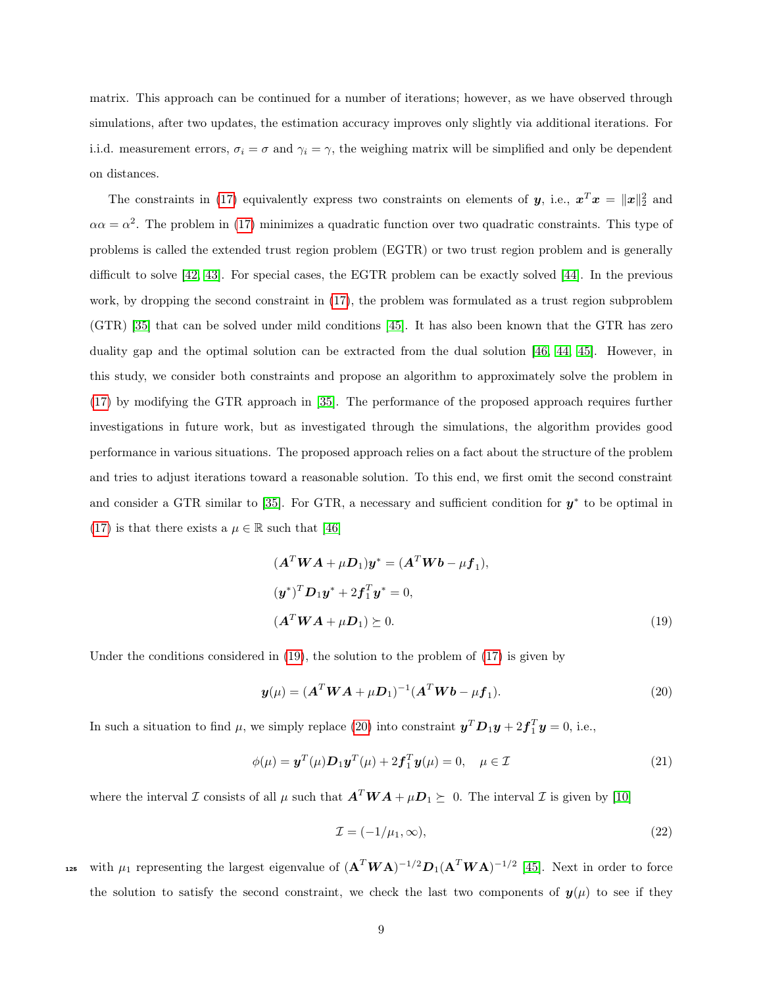matrix. This approach can be continued for a number of iterations; however, as we have observed through simulations, after two updates, the estimation accuracy improves only slightly via additional iterations. For i.i.d. measurement errors,  $\sigma_i = \sigma$  and  $\gamma_i = \gamma$ , the weighing matrix will be simplified and only be dependent on distances.

The constraints in [\(17\)](#page-8-0) equivalently express two constraints on elements of  $y$ , i.e.,  $x^T x = ||x||_2^2$  and  $\alpha \alpha = \alpha^2$ . The problem in [\(17\)](#page-8-0) minimizes a quadratic function over two quadratic constraints. This type of problems is called the extended trust region problem (EGTR) or two trust region problem and is generally difficult to solve [\[42,](#page-25-4) [43\]](#page-25-5). For special cases, the EGTR problem can be exactly solved [\[44\]](#page-25-6). In the previous work, by dropping the second constraint in [\(17\)](#page-8-0), the problem was formulated as a trust region subproblem (GTR) [\[35\]](#page-24-9) that can be solved under mild conditions [\[45\]](#page-25-7). It has also been known that the GTR has zero duality gap and the optimal solution can be extracted from the dual solution [\[46,](#page-25-8) [44,](#page-25-6) [45\]](#page-25-7). However, in this study, we consider both constraints and propose an algorithm to approximately solve the problem in [\(17\)](#page-8-0) by modifying the GTR approach in [\[35\]](#page-24-9). The performance of the proposed approach requires further investigations in future work, but as investigated through the simulations, the algorithm provides good performance in various situations. The proposed approach relies on a fact about the structure of the problem and tries to adjust iterations toward a reasonable solution. To this end, we first omit the second constraint and consider a GTR similar to [\[35\]](#page-24-9). For GTR, a necessary and sufficient condition for  $y^*$  to be optimal in [\(17\)](#page-8-0) is that there exists a  $\mu \in \mathbb{R}$  such that [\[46\]](#page-25-8)

<span id="page-9-0"></span>
$$
(ATWA + \mu D1)y* = (ATWb - \mu f1),
$$
  
\n
$$
(y^*)TD1y^* + 2f1Ty^* = 0,
$$
  
\n
$$
(ATWA + \mu D1) \succeq 0.
$$
\n(19)

Under the conditions considered in [\(19\)](#page-9-0), the solution to the problem of [\(17\)](#page-8-0) is given by

$$
\mathbf{y}(\mu) = (\mathbf{A}^T \mathbf{W} \mathbf{A} + \mu \mathbf{D}_1)^{-1} (\mathbf{A}^T \mathbf{W} \mathbf{b} - \mu \mathbf{f}_1). \tag{20}
$$

In such a situation to find  $\mu$ , we simply replace [\(20\)](#page-9-1) into constraint  $\mathbf{y}^T \mathbf{D}_1 \mathbf{y} + 2 \mathbf{f}_1^T \mathbf{y} = 0$ , i.e.,

$$
\phi(\mu) = \mathbf{y}^T(\mu)\mathbf{D}_1\mathbf{y}^T(\mu) + 2\mathbf{f}_1^T\mathbf{y}(\mu) = 0, \quad \mu \in \mathcal{I}
$$
\n(21)

where the interval  $\mathcal I$  consists of all  $\mu$  such that  $\mathbf{A}^T \mathbf{W} \mathbf{A} + \mu \mathbf{D}_1 \succeq 0$ . The interval  $\mathcal I$  is given by [\[10\]](#page-22-8)

<span id="page-9-2"></span><span id="page-9-1"></span>
$$
\mathcal{I} = (-1/\mu_1, \infty),\tag{22}
$$

125 with  $\mu_1$  representing the largest eigenvalue of  $(\mathbf{A}^T \mathbf{W} \mathbf{A})^{-1/2} \mathbf{D}_1 (\mathbf{A}^T \mathbf{W} \mathbf{A})^{-1/2}$  [\[45\]](#page-25-7). Next in order to force the solution to satisfy the second constraint, we check the last two components of  $y(\mu)$  to see if they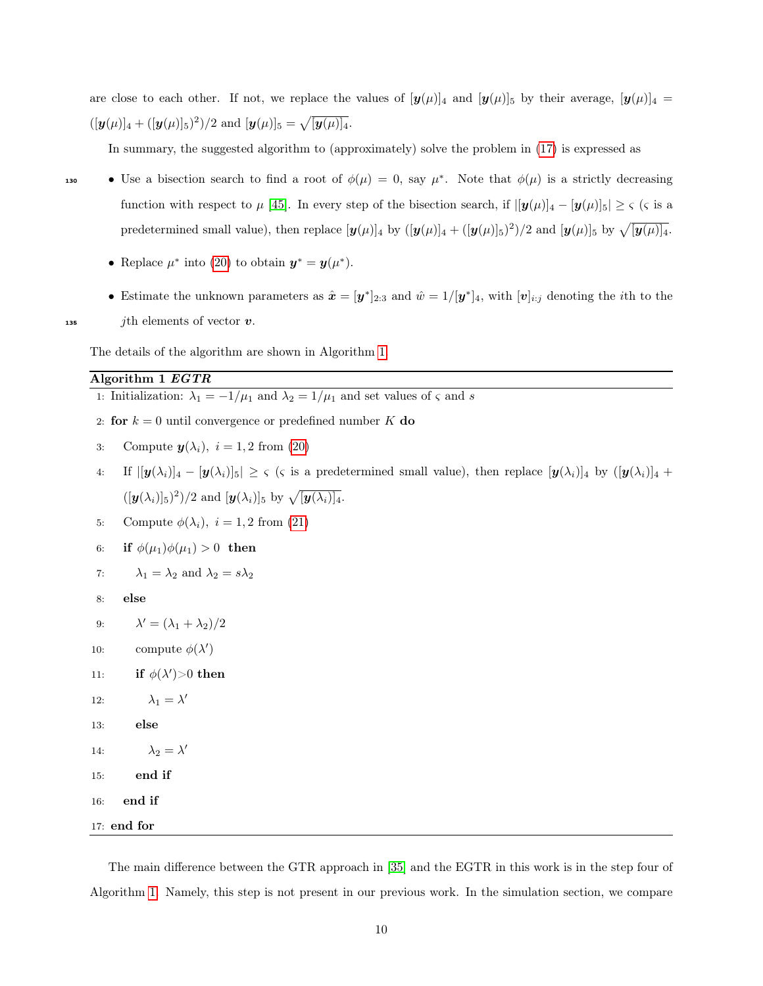are close to each other. If not, we replace the values of  $[\mathbf{y}(\mu)]_4$  and  $[\mathbf{y}(\mu)]_5$  by their average,  $[\mathbf{y}(\mu)]_4$  =  $([y(\mu)]_4 + ([y(\mu)]_5)^2)/2$  and  $[y(\mu)]_5 = \sqrt{[y(\mu)]_4}$ .

In summary, the suggested algorithm to (approximately) solve the problem in [\(17\)](#page-8-0) is expressed as

• Use a bisection search to find a root of  $\phi(\mu) = 0$ , say  $\mu^*$ . Note that  $\phi(\mu)$  is a strictly decreasing function with respect to  $\mu$  [\[45\]](#page-25-7). In every step of the bisection search, if  $|[\mathbf{y}(\mu)]_4 - [\mathbf{y}(\mu)]_5| \geq \varsigma$  ( $\varsigma$  is a predetermined small value), then replace  $[y(\mu)]_4$  by  $([y(\mu)]_4 + ([y(\mu)]_5)^2)/2$  and  $[y(\mu)]_5$  by  $\sqrt{[y(\mu)]_4}$ .

- Replace  $\mu^*$  into [\(20\)](#page-9-1) to obtain  $\mathbf{y}^* = \mathbf{y}(\mu^*).$
- Estimate the unknown parameters as  $\hat{x} = [\mathbf{y}^*]_{2:3}$  and  $\hat{w} = 1/[\mathbf{y}^*]_4$ , with  $[\mathbf{v}]_{i:j}$  denoting the *i*th to the 135 jth elements of vector  $v$ .

The details of the algorithm are shown in Algorithm [1.](#page-10-0)

#### Algorithm 1 EGTR

- <span id="page-10-0"></span>1: Initialization:  $\lambda_1 = -1/\mu_1$  and  $\lambda_2 = 1/\mu_1$  and set values of  $\varsigma$  and  $s$
- 2: for  $k = 0$  until convergence or predefined number K do
- 3: Compute  $y(\lambda_i)$ ,  $i = 1, 2$  from [\(20\)](#page-9-1)
- 4: If  $\left| \left[\mathbf{y}(\lambda_i)\right]_4 \left[\mathbf{y}(\lambda_i)\right]_5 \right| \geq \varsigma$  ( $\varsigma$  is a predetermined small value), then replace  $[\mathbf{y}(\lambda_i)]_4$  by  $([\mathbf{y}(\lambda_i)]_4 +$  $([y(\lambda_i)]_5)^2)/2$  and  $[y(\lambda_i)]_5$  by  $\sqrt{[y(\lambda_i)]_4}$ .
- 5: Compute  $\phi(\lambda_i)$ ,  $i = 1, 2$  from [\(21\)](#page-9-2)
- 6: if  $\phi(\mu_1)\phi(\mu_1) > 0$  then
- 7:  $\lambda_1 = \lambda_2$  and  $\lambda_2 = s\lambda_2$
- 8: else
- 9:  $\lambda' = (\lambda_1 + \lambda_2)/2$
- 10: compute  $\phi(\lambda')$
- 11: if  $\phi(\lambda') > 0$  then
- 12:  $\lambda_1 = \lambda'$
- 13: else
- 14:  $\lambda_2 = \lambda'$
- 15: end if
- 16: end if

17: end for

The main difference between the GTR approach in [\[35\]](#page-24-9) and the EGTR in this work is in the step four of Algorithm [1.](#page-10-0) Namely, this step is not present in our previous work. In the simulation section, we compare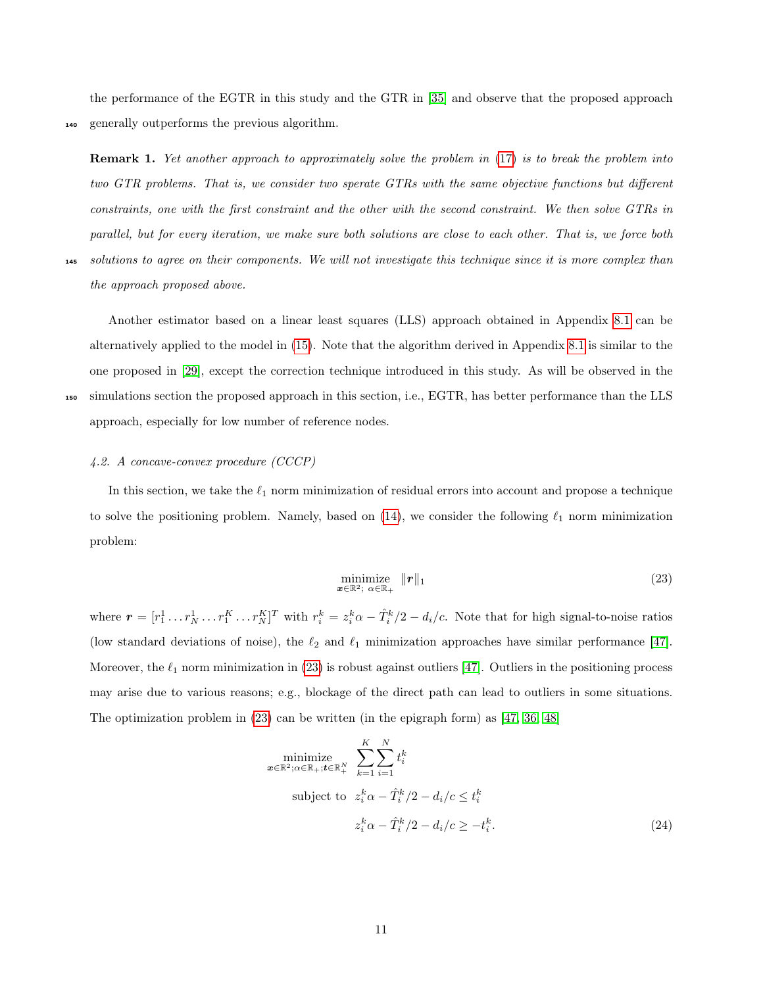the performance of the EGTR in this study and the GTR in [\[35\]](#page-24-9) and observe that the proposed approach <sup>140</sup> generally outperforms the previous algorithm.

Remark 1. Yet another approach to approximately solve the problem in  $(17)$  is to break the problem into two GTR problems. That is, we consider two sperate GTRs with the same objective functions but different constraints, one with the first constraint and the other with the second constraint. We then solve GTRs in parallel, but for every iteration, we make sure both solutions are close to each other. That is, we force both <sup>145</sup> solutions to agree on their components. We will not investigate this technique since it is more complex than

the approach proposed above. Another estimator based on a linear least squares (LLS) approach obtained in Appendix [8.1](#page-18-0) can be alternatively applied to the model in [\(15\)](#page-7-4). Note that the algorithm derived in Appendix [8.1](#page-18-0) is similar to the

<sup>150</sup> simulations section the proposed approach in this section, i.e., EGTR, has better performance than the LLS

approach, especially for low number of reference nodes.

#### 4.2. A concave-convex procedure (CCCP)

In this section, we take the  $\ell_1$  norm minimization of residual errors into account and propose a technique to solve the positioning problem. Namely, based on  $(14)$ , we consider the following  $\ell_1$  norm minimization problem:

one proposed in [\[29\]](#page-24-3), except the correction technique introduced in this study. As will be observed in the

<span id="page-11-0"></span>
$$
\underset{\boldsymbol{x}\in\mathbb{R}^2;\ \boldsymbol{\alpha}\in\mathbb{R}_+}{\text{minimize}}\ \|\boldsymbol{r}\|_1\tag{23}
$$

where  $\boldsymbol{r} = [r_1^1 \dots r_N^1 \dots r_N^K]^T$  with  $r_i^k = z_i^k \alpha - \hat{T}_i^k/2 - d_i/c$ . Note that for high signal-to-noise ratios (low standard deviations of noise), the  $\ell_2$  and  $\ell_1$  minimization approaches have similar performance [\[47\]](#page-25-9). Moreover, the  $\ell_1$  norm minimization in [\(23\)](#page-11-0) is robust against outliers [\[47\]](#page-25-9). Outliers in the positioning process may arise due to various reasons; e.g., blockage of the direct path can lead to outliers in some situations. The optimization problem in [\(23\)](#page-11-0) can be written (in the epigraph form) as [\[47,](#page-25-9) [36,](#page-24-10) [48\]](#page-25-10)

<span id="page-11-1"></span>
$$
\begin{aligned}\n\minimize & \sum_{\mathbf{x} \in \mathbb{R}^2; \alpha \in \mathbb{R}_+; \mathbf{t} \in \mathbb{R}_+^N} \sum_{k=1}^K \sum_{i=1}^N t_i^k \\
\text{subject to} & \quad z_i^k \alpha - \hat{T}_i^k / 2 - d_i / c \le t_i^k \\
& z_i^k \alpha - \hat{T}_i^k / 2 - d_i / c \ge -t_i^k.\n\end{aligned} \tag{24}
$$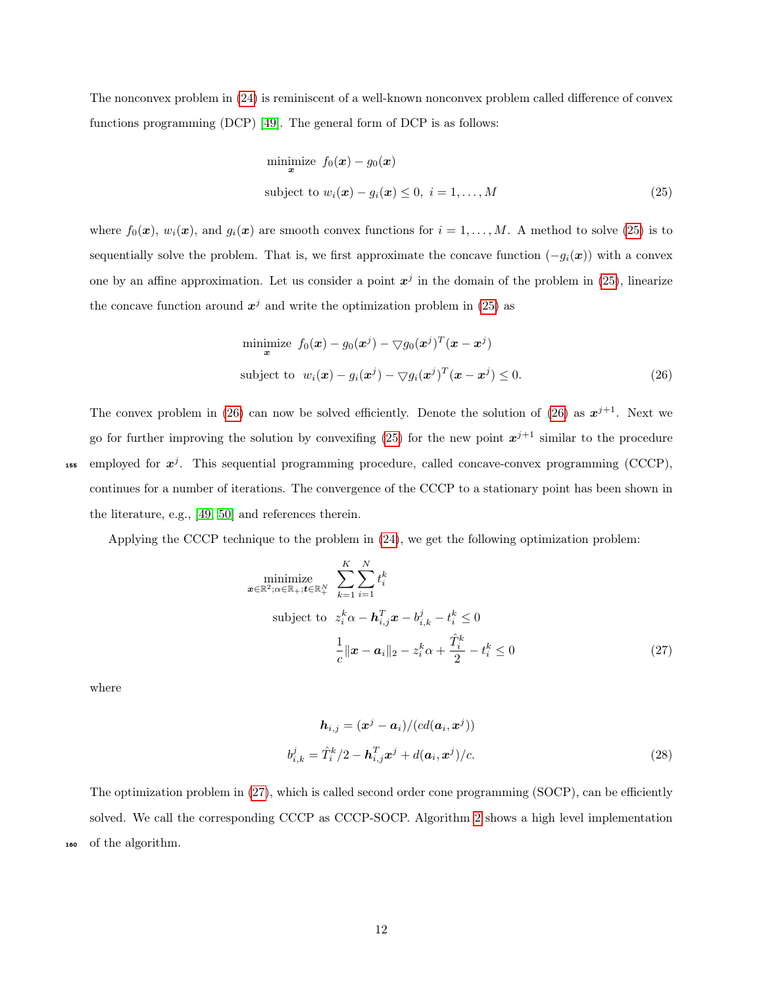The nonconvex problem in [\(24\)](#page-11-1) is reminiscent of a well-known nonconvex problem called difference of convex functions programming (DCP) [\[49\]](#page-25-11). The general form of DCP is as follows:

<span id="page-12-0"></span>
$$
\begin{aligned}\n\text{minimize} \quad & f_0(\mathbf{x}) - g_0(\mathbf{x}) \\
\text{subject to} \quad & w_i(\mathbf{x}) - g_i(\mathbf{x}) \le 0, \quad i = 1, \dots, M\n\end{aligned} \tag{25}
$$

where  $f_0(\mathbf{x})$ ,  $w_i(\mathbf{x})$ , and  $g_i(\mathbf{x})$  are smooth convex functions for  $i = 1, ..., M$ . A method to solve [\(25\)](#page-12-0) is to sequentially solve the problem. That is, we first approximate the concave function  $(-g_i(x))$  with a convex one by an affine approximation. Let us consider a point  $x^j$  in the domain of the problem in [\(25\)](#page-12-0), linearize the concave function around  $x^j$  and write the optimization problem in [\(25\)](#page-12-0) as

<span id="page-12-1"></span>
$$
\begin{aligned}\n\text{minimize} \quad & f_0(\mathbf{x}) - g_0(\mathbf{x}^j) - \nabla g_0(\mathbf{x}^j)^T(\mathbf{x} - \mathbf{x}^j) \\
\text{subject to} \quad & w_i(\mathbf{x}) - g_i(\mathbf{x}^j) - \nabla g_i(\mathbf{x}^j)^T(\mathbf{x} - \mathbf{x}^j) \le 0.\n\end{aligned} \tag{26}
$$

The convex problem in [\(26\)](#page-12-1) can now be solved efficiently. Denote the solution of (26) as  $x^{j+1}$ . Next we go for further improving the solution by convexifing [\(25\)](#page-12-0) for the new point  $x^{j+1}$  similar to the procedure <sup>155</sup> employed for  $x^j$ . This sequential programming procedure, called concave-convex programming (CCCP), continues for a number of iterations. The convergence of the CCCP to a stationary point has been shown in the literature, e.g., [\[49,](#page-25-11) [50\]](#page-25-12) and references therein.

Applying the CCCP technique to the problem in [\(24\)](#page-11-1), we get the following optimization problem:

$$
\begin{aligned}\n\minimize & \sum_{\mathbf{x} \in \mathbb{R}^2; \alpha \in \mathbb{R}_+; \mathbf{t} \in \mathbb{R}_+^N} \quad & \sum_{k=1}^K \sum_{i=1}^N t_i^k \\
\text{subject to} & z_i^k \alpha - \mathbf{h}_{i,j}^T \mathbf{x} - b_{i,k}^j - t_i^k \le 0 \\
& \frac{1}{c} \|\mathbf{x} - \mathbf{a}_i\|_2 - z_i^k \alpha + \frac{\hat{T}_i^k}{2} - t_i^k \le 0\n\end{aligned} \tag{27}
$$

where

<span id="page-12-3"></span><span id="page-12-2"></span>
$$
\mathbf{h}_{i,j} = (\mathbf{x}^j - \mathbf{a}_i)/(cd(\mathbf{a}_i, \mathbf{x}^j))
$$
  

$$
b_{i,k}^j = \hat{T}_i^k/2 - \mathbf{h}_{i,j}^T \mathbf{x}^j + d(\mathbf{a}_i, \mathbf{x}^j)/c.
$$
 (28)

The optimization problem in [\(27\)](#page-12-2), which is called second order cone programming (SOCP), can be efficiently solved. We call the corresponding CCCP as CCCP-SOCP. Algorithm [2](#page-13-1) shows a high level implementation of the algorithm.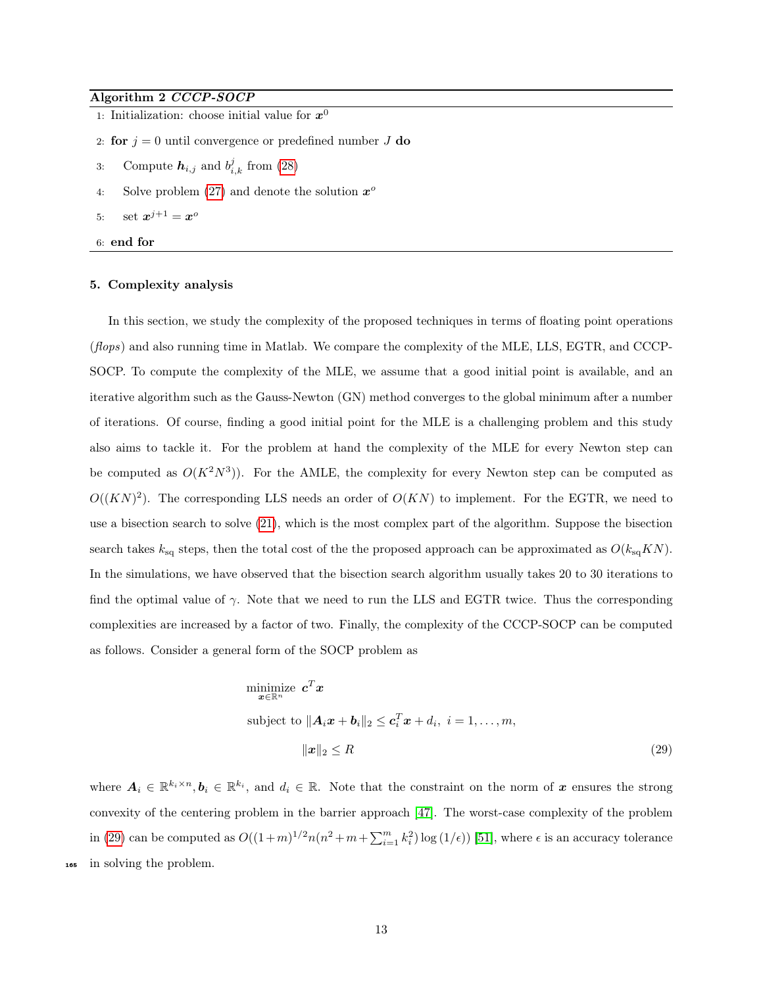### Algorithm 2 CCCP-SOCP

- <span id="page-13-1"></span>1: Initialization: choose initial value for  $x^0$
- 2: for  $j = 0$  until convergence or predefined number J do
- 3: Compute  $h_{i,j}$  and  $b_{i,k}^j$  from [\(28\)](#page-12-3)
- 4: Solve problem [\(27\)](#page-12-2) and denote the solution  $x^{\circ}$
- 5: set  $x^{j+1} = x^o$
- 6: end for

#### <span id="page-13-0"></span>5. Complexity analysis

In this section, we study the complexity of the proposed techniques in terms of floating point operations (flops) and also running time in Matlab. We compare the complexity of the MLE, LLS, EGTR, and CCCP-SOCP. To compute the complexity of the MLE, we assume that a good initial point is available, and an iterative algorithm such as the Gauss-Newton (GN) method converges to the global minimum after a number of iterations. Of course, finding a good initial point for the MLE is a challenging problem and this study also aims to tackle it. For the problem at hand the complexity of the MLE for every Newton step can be computed as  $O(K^2N^3)$ ). For the AMLE, the complexity for every Newton step can be computed as  $O((KN)^2)$ . The corresponding LLS needs an order of  $O(KN)$  to implement. For the EGTR, we need to use a bisection search to solve [\(21\)](#page-9-2), which is the most complex part of the algorithm. Suppose the bisection search takes  $k_{\text{sq}}$  steps, then the total cost of the the proposed approach can be approximated as  $O(k_{\text{sq}}KN)$ . In the simulations, we have observed that the bisection search algorithm usually takes 20 to 30 iterations to find the optimal value of  $\gamma$ . Note that we need to run the LLS and EGTR twice. Thus the corresponding complexities are increased by a factor of two. Finally, the complexity of the CCCP-SOCP can be computed as follows. Consider a general form of the SOCP problem as

<span id="page-13-2"></span>minimize 
$$
\mathbf{c}^T \mathbf{x}
$$
  
\nsubject to  $\|\mathbf{A}_i \mathbf{x} + \mathbf{b}_i\|_2 \le \mathbf{c}_i^T \mathbf{x} + d_i, \ i = 1, ..., m,$   
\n
$$
\|\mathbf{x}\|_2 \le R
$$
\n(29)

where  $A_i \in \mathbb{R}^{k_i \times n}, b_i \in \mathbb{R}^{k_i}$ , and  $d_i \in \mathbb{R}$ . Note that the constraint on the norm of x ensures the strong convexity of the centering problem in the barrier approach [\[47\]](#page-25-9). The worst-case complexity of the problem in [\(29\)](#page-13-2) can be computed as  $O((1+m)^{1/2}n(n^2+m+\sum_{i=1}^mk_i^2)\log(1/\epsilon))$  [\[51\]](#page-25-13), where  $\epsilon$  is an accuracy tolerance <sup>165</sup> in solving the problem.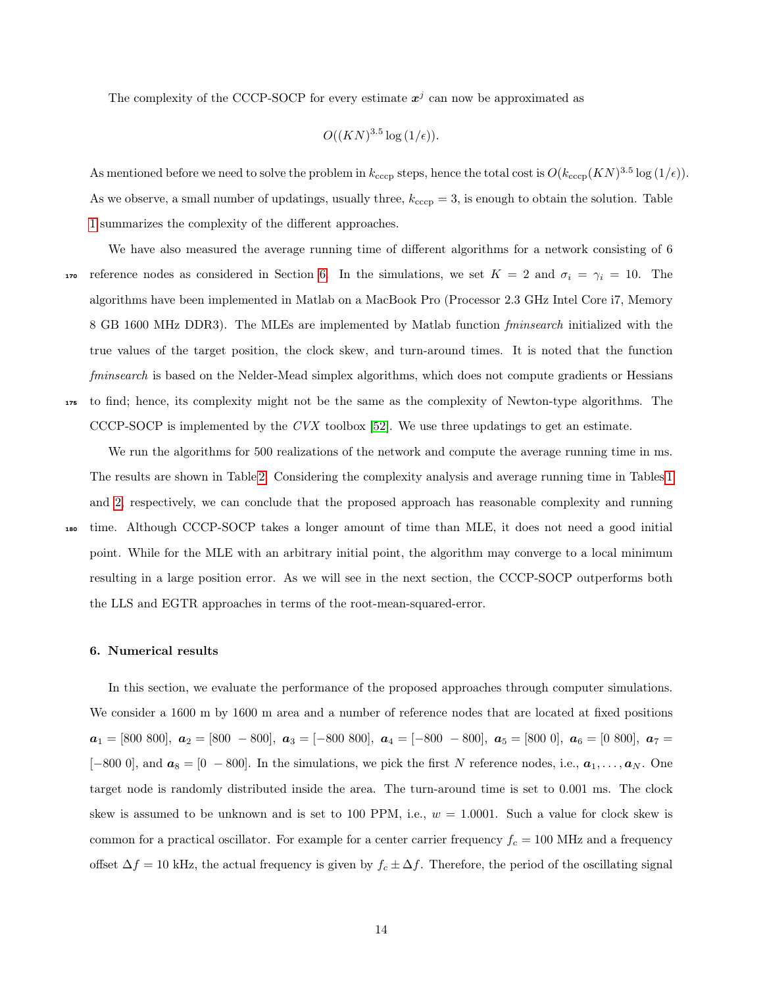The complexity of the CCCP-SOCP for every estimate  $x^j$  can now be approximated as

$$
O((KN)^{3.5}\log{(1/\epsilon)}).
$$

As mentioned before we need to solve the problem in  $k_{\rm ccep}$  steps, hence the total cost is  $O(k_{\rm ccep}(KN)^{3.5} \log{(1/\epsilon)})$ . As we observe, a small number of updatings, usually three,  $k_{\text{ccep}} = 3$ , is enough to obtain the solution. Table [1](#page-26-0) summarizes the complexity of the different approaches.

We have also measured the average running time of different algorithms for a network consisting of 6 170 reference nodes as considered in Section [6.](#page-14-0) In the simulations, we set  $K = 2$  and  $\sigma_i = \gamma_i = 10$ . The algorithms have been implemented in Matlab on a MacBook Pro (Processor 2.3 GHz Intel Core i7, Memory 8 GB 1600 MHz DDR3). The MLEs are implemented by Matlab function fminsearch initialized with the true values of the target position, the clock skew, and turn-around times. It is noted that the function fminsearch is based on the Nelder-Mead simplex algorithms, which does not compute gradients or Hessians <sup>175</sup> to find; hence, its complexity might not be the same as the complexity of Newton-type algorithms. The CCCP-SOCP is implemented by the  $Cvx$  toolbox [\[52\]](#page-26-1). We use three updatings to get an estimate.

We run the algorithms for 500 realizations of the network and compute the average running time in ms. The results are shown in Table [2.](#page-26-2) Considering the complexity analysis and average running time in Tables [1](#page-26-0) and [2,](#page-26-2) respectively, we can conclude that the proposed approach has reasonable complexity and running

time. Although CCCP-SOCP takes a longer amount of time than MLE, it does not need a good initial point. While for the MLE with an arbitrary initial point, the algorithm may converge to a local minimum resulting in a large position error. As we will see in the next section, the CCCP-SOCP outperforms both the LLS and EGTR approaches in terms of the root-mean-squared-error.

#### <span id="page-14-0"></span>6. Numerical results

In this section, we evaluate the performance of the proposed approaches through computer simulations. We consider a 1600 m by 1600 m area and a number of reference nodes that are located at fixed positions  $a_1 = [800\ 800], \ a_2 = [800\ -800], \ a_3 = [-800\ 800], \ a_4 = [-800\ -800], \ a_5 = [800\ 0], \ a_6 = [0\ 800], \ a_7 = [0\ 800], \ a_8 = [0\ 800], \ a_9 = [0\ 800], \ a_1 = [0\ 800], \ a_1 = [0\ 800], \ a_2 = [0\ 800], \ a_3 = [0\ 800], \ a_4 = [0\ 800], \ a_5 = [0\ 800], \ a_7 = [0\ 800], \ a_8 =$ [−800 0], and  $a_8 = [0 - 800]$ . In the simulations, we pick the first N reference nodes, i.e.,  $a_1, \ldots, a_N$ . One target node is randomly distributed inside the area. The turn-around time is set to 0.001 ms. The clock skew is assumed to be unknown and is set to 100 PPM, i.e.,  $w = 1.0001$ . Such a value for clock skew is common for a practical oscillator. For example for a center carrier frequency  $f_c = 100$  MHz and a frequency offset  $\Delta f = 10$  kHz, the actual frequency is given by  $f_c \pm \Delta f$ . Therefore, the period of the oscillating signal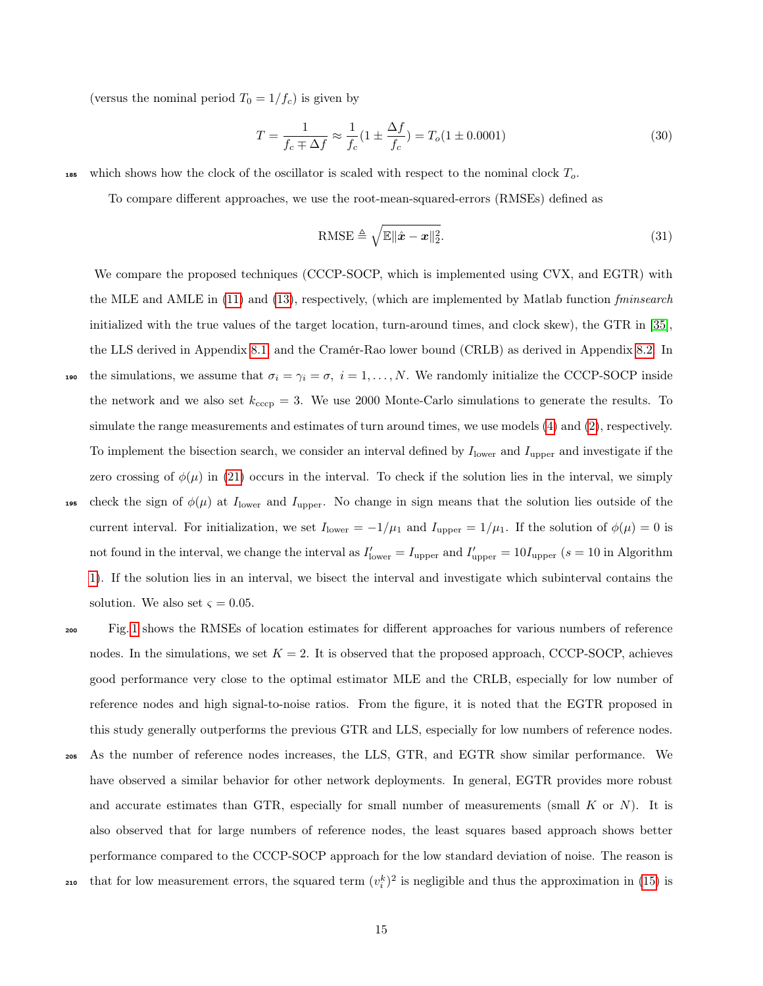(versus the nominal period  $T_0 = 1/f_c$ ) is given by

$$
T = \frac{1}{f_c \pm \Delta f} \approx \frac{1}{f_c} (1 \pm \frac{\Delta f}{f_c}) = T_o (1 \pm 0.0001)
$$
 (30)

<sup>185</sup> which shows how the clock of the oscillator is scaled with respect to the nominal clock  $T_o$ .

To compare different approaches, we use the root-mean-squared-errors (RMSEs) defined as

$$
\text{RMSE} \triangleq \sqrt{\mathbb{E} \|\hat{\mathbf{x}} - \mathbf{x}\|_2^2}.
$$
\n(31)

We compare the proposed techniques (CCCP-SOCP, which is implemented using CVX, and EGTR) with the MLE and AMLE in [\(11\)](#page-6-1) and [\(13\)](#page-7-2), respectively, (which are implemented by Matlab function fminsearch initialized with the true values of the target location, turn-around times, and clock skew), the GTR in [\[35\]](#page-24-9), the LLS derived in Appendix [8.1,](#page-18-0) and the Cramér-Rao lower bound (CRLB) as derived in Appendix [8.2.](#page-19-0) In 190 the simulations, we assume that  $\sigma_i = \gamma_i = \sigma$ ,  $i = 1, ..., N$ . We randomly initialize the CCCP-SOCP inside the network and we also set  $k_{\rm cccp} = 3$ . We use 2000 Monte-Carlo simulations to generate the results. To simulate the range measurements and estimates of turn around times, we use models [\(4\)](#page-5-3) and [\(2\)](#page-5-2), respectively. To implement the bisection search, we consider an interval defined by  $I_{\text{lower}}$  and  $I_{\text{upper}}$  and investigate if the zero crossing of  $\phi(\mu)$  in [\(21\)](#page-9-2) occurs in the interval. To check if the solution lies in the interval, we simply 195 check the sign of  $\phi(\mu)$  at  $I_{\text{lower}}$  and  $I_{\text{upper}}$ . No change in sign means that the solution lies outside of the current interval. For initialization, we set  $I_{\text{lower}} = -1/\mu_1$  and  $I_{\text{upper}} = 1/\mu_1$ . If the solution of  $\phi(\mu) = 0$  is not found in the interval, we change the interval as  $I'_{\text{lower}} = I_{\text{upper}}$  and  $I'_{\text{upper}} = 10I_{\text{upper}}$  (s = 10 in Algorithm [1\)](#page-10-0). If the solution lies in an interval, we bisect the interval and investigate which subinterval contains the solution. We also set  $\zeta = 0.05$ .

Fig. [1](#page-27-0) shows the RMSEs of location estimates for different approaches for various numbers of reference nodes. In the simulations, we set  $K = 2$ . It is observed that the proposed approach, CCCP-SOCP, achieves good performance very close to the optimal estimator MLE and the CRLB, especially for low number of reference nodes and high signal-to-noise ratios. From the figure, it is noted that the EGTR proposed in this study generally outperforms the previous GTR and LLS, especially for low numbers of reference nodes. <sup>205</sup> As the number of reference nodes increases, the LLS, GTR, and EGTR show similar performance. We have observed a similar behavior for other network deployments. In general, EGTR provides more robust and accurate estimates than GTR, especially for small number of measurements (small  $K$  or  $N$ ). It is also observed that for large numbers of reference nodes, the least squares based approach shows better performance compared to the CCCP-SOCP approach for the low standard deviation of noise. The reason is 210 that for low measurement errors, the squared term  $(v_i^k)^2$  is negligible and thus the approximation in [\(15\)](#page-7-4) is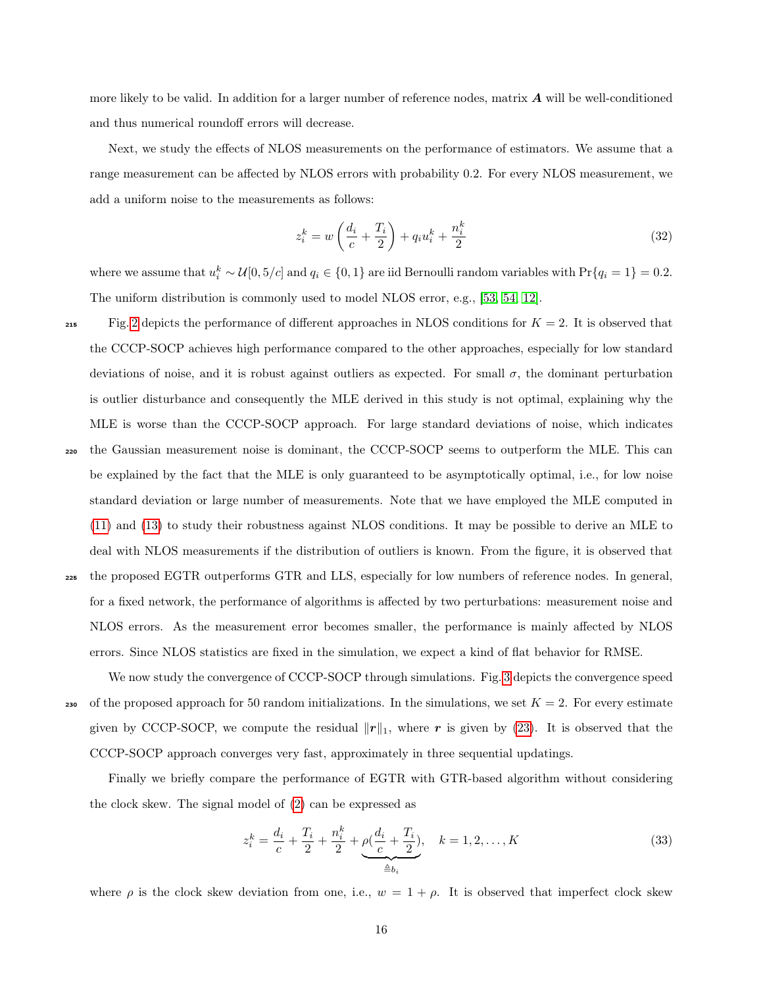more likely to be valid. In addition for a larger number of reference nodes, matrix  $\bm{A}$  will be well-conditioned and thus numerical roundoff errors will decrease.

Next, we study the effects of NLOS measurements on the performance of estimators. We assume that a range measurement can be affected by NLOS errors with probability 0.2. For every NLOS measurement, we add a uniform noise to the measurements as follows:

$$
z_i^k = w\left(\frac{d_i}{c} + \frac{T_i}{2}\right) + q_i u_i^k + \frac{n_i^k}{2}
$$
\n(32)

where we assume that  $u_i^k \sim \mathcal{U}[0, 5/c]$  and  $q_i \in \{0, 1\}$  are iid Bernoulli random variables with  $Pr\{q_i = 1\} = 0.2$ . The uniform distribution is commonly used to model NLOS error, e.g., [\[53,](#page-26-3) [54,](#page-26-4) [12\]](#page-22-10).

Fig. [2](#page-28-0) depicts the performance of different approaches in NLOS conditions for  $K = 2$ . It is observed that the CCCP-SOCP achieves high performance compared to the other approaches, especially for low standard deviations of noise, and it is robust against outliers as expected. For small  $\sigma$ , the dominant perturbation is outlier disturbance and consequently the MLE derived in this study is not optimal, explaining why the MLE is worse than the CCCP-SOCP approach. For large standard deviations of noise, which indicates <sup>220</sup> the Gaussian measurement noise is dominant, the CCCP-SOCP seems to outperform the MLE. This can be explained by the fact that the MLE is only guaranteed to be asymptotically optimal, i.e., for low noise standard deviation or large number of measurements. Note that we have employed the MLE computed in [\(11\)](#page-6-1) and [\(13\)](#page-7-2) to study their robustness against NLOS conditions. It may be possible to derive an MLE to deal with NLOS measurements if the distribution of outliers is known. From the figure, it is observed that <sup>225</sup> the proposed EGTR outperforms GTR and LLS, especially for low numbers of reference nodes. In general, for a fixed network, the performance of algorithms is affected by two perturbations: measurement noise and NLOS errors. As the measurement error becomes smaller, the performance is mainly affected by NLOS errors. Since NLOS statistics are fixed in the simulation, we expect a kind of flat behavior for RMSE.

We now study the convergence of CCCP-SOCP through simulations. Fig. [3](#page-28-1) depicts the convergence speed 230 of the proposed approach for 50 random initializations. In the simulations, we set  $K = 2$ . For every estimate given by CCCP-SOCP, we compute the residual  $||r||_1$ , where r is given by [\(23\)](#page-11-0). It is observed that the CCCP-SOCP approach converges very fast, approximately in three sequential updatings.

Finally we briefly compare the performance of EGTR with GTR-based algorithm without considering the clock skew. The signal model of [\(2\)](#page-5-2) can be expressed as

<span id="page-16-0"></span>
$$
z_i^k = \frac{d_i}{c} + \frac{T_i}{2} + \frac{n_i^k}{2} + \underbrace{\rho(\frac{d_i}{c} + \frac{T_i}{2})}_{\triangleq b_i}, \quad k = 1, 2, ..., K
$$
 (33)

where  $\rho$  is the clock skew deviation from one, i.e.,  $w = 1 + \rho$ . It is observed that imperfect clock skew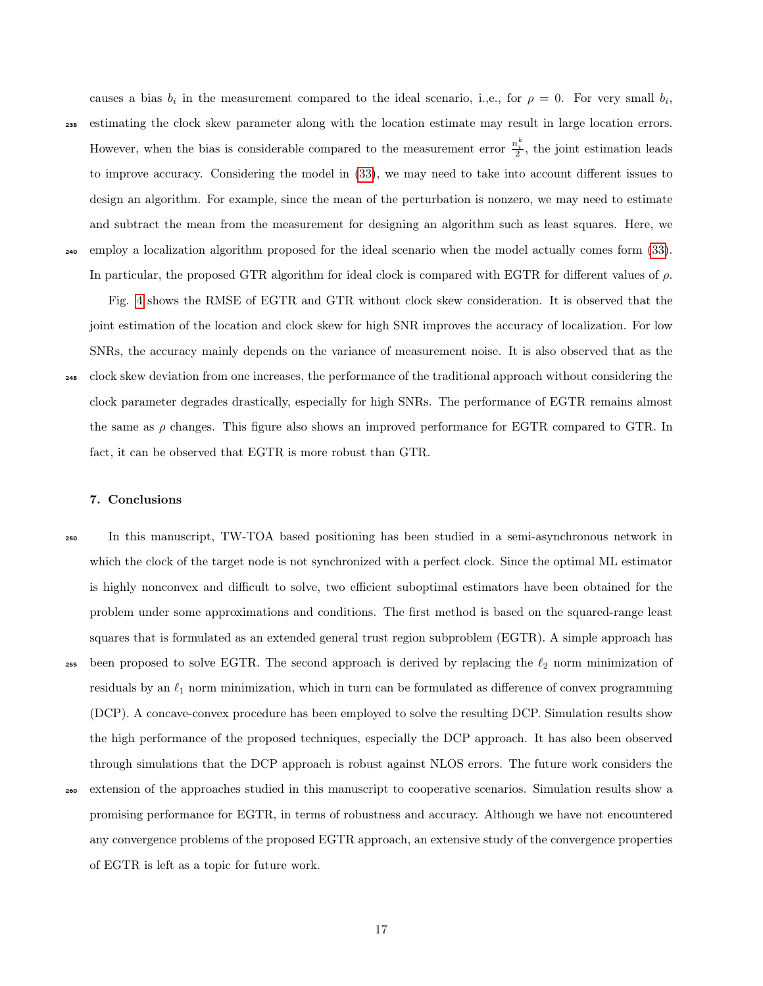causes a bias  $b_i$  in the measurement compared to the ideal scenario, i.,e., for  $\rho = 0$ . For very small  $b_i$ , <sup>235</sup> estimating the clock skew parameter along with the location estimate may result in large location errors. However, when the bias is considerable compared to the measurement error  $\frac{n_i^k}{2}$ , the joint estimation leads to improve accuracy. Considering the model in [\(33\)](#page-16-0), we may need to take into account different issues to design an algorithm. For example, since the mean of the perturbation is nonzero, we may need to estimate and subtract the mean from the measurement for designing an algorithm such as least squares. Here, we <sup>240</sup> employ a localization algorithm proposed for the ideal scenario when the model actually comes form [\(33\)](#page-16-0). In particular, the proposed GTR algorithm for ideal clock is compared with EGTR for different values of  $\rho$ .

Fig. [4](#page-29-0) shows the RMSE of EGTR and GTR without clock skew consideration. It is observed that the joint estimation of the location and clock skew for high SNR improves the accuracy of localization. For low SNRs, the accuracy mainly depends on the variance of measurement noise. It is also observed that as the clock skew deviation from one increases, the performance of the traditional approach without considering the clock parameter degrades drastically, especially for high SNRs. The performance of EGTR remains almost the same as  $\rho$  changes. This figure also shows an improved performance for EGTR compared to GTR. In fact, it can be observed that EGTR is more robust than GTR.

#### <span id="page-17-0"></span>7. Conclusions

<sup>250</sup> In this manuscript, TW-TOA based positioning has been studied in a semi-asynchronous network in which the clock of the target node is not synchronized with a perfect clock. Since the optimal ML estimator is highly nonconvex and difficult to solve, two efficient suboptimal estimators have been obtained for the problem under some approximations and conditions. The first method is based on the squared-range least squares that is formulated as an extended general trust region subproblem (EGTR). A simple approach has 255 been proposed to solve EGTR. The second approach is derived by replacing the  $\ell_2$  norm minimization of residuals by an  $\ell_1$  norm minimization, which in turn can be formulated as difference of convex programming (DCP). A concave-convex procedure has been employed to solve the resulting DCP. Simulation results show the high performance of the proposed techniques, especially the DCP approach. It has also been observed through simulations that the DCP approach is robust against NLOS errors. The future work considers the <sup>260</sup> extension of the approaches studied in this manuscript to cooperative scenarios. Simulation results show a promising performance for EGTR, in terms of robustness and accuracy. Although we have not encountered any convergence problems of the proposed EGTR approach, an extensive study of the convergence properties of EGTR is left as a topic for future work.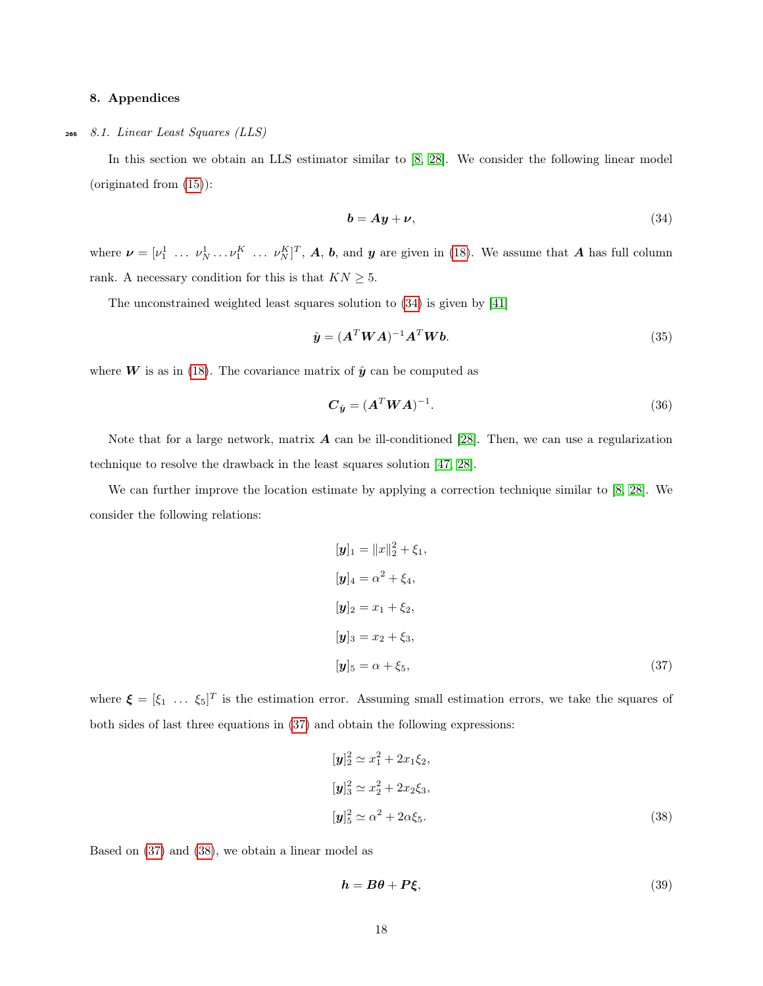#### <span id="page-18-0"></span>8. Appendices

#### <sup>265</sup> 8.1. Linear Least Squares (LLS)

In this section we obtain an LLS estimator similar to [\[8,](#page-22-6) [28\]](#page-24-2). We consider the following linear model (originated from [\(15\)](#page-7-4)):

<span id="page-18-5"></span><span id="page-18-1"></span>
$$
\mathbf{b} = \mathbf{A}\mathbf{y} + \mathbf{\nu},\tag{34}
$$

where  $\boldsymbol{\nu} = [\nu_1^1 \dots \nu_N^1 \dots \nu_N^K]^T$ ,  $\boldsymbol{A}, \boldsymbol{b}$ , and  $\boldsymbol{y}$  are given in [\(18\)](#page-8-1). We assume that  $\boldsymbol{A}$  has full column rank. A necessary condition for this is that  $KN\geq 5.$ 

The unconstrained weighted least squares solution to [\(34\)](#page-18-1) is given by [\[41\]](#page-25-3)

$$
\hat{\mathbf{y}} = (\mathbf{A}^T \mathbf{W} \mathbf{A})^{-1} \mathbf{A}^T \mathbf{W} \mathbf{b}.\tag{35}
$$

where **W** is as in [\(18\)](#page-8-1). The covariance matrix of  $\hat{y}$  can be computed as

$$
\boldsymbol{C}_{\hat{\boldsymbol{y}}} = (\boldsymbol{A}^T \boldsymbol{W} \boldsymbol{A})^{-1}.
$$
\n(36)

Note that for a large network, matrix  $\boldsymbol{A}$  can be ill-conditioned [\[28\]](#page-24-2). Then, we can use a regularization technique to resolve the drawback in the least squares solution [\[47,](#page-25-9) [28\]](#page-24-2).

We can further improve the location estimate by applying a correction technique similar to [\[8,](#page-22-6) [28\]](#page-24-2). We consider the following relations:

<span id="page-18-2"></span>
$$
[\mathbf{y}]_1 = ||x||_2^2 + \xi_1,
$$
  
\n
$$
[\mathbf{y}]_4 = \alpha^2 + \xi_4,
$$
  
\n
$$
[\mathbf{y}]_2 = x_1 + \xi_2,
$$
  
\n
$$
[\mathbf{y}]_3 = x_2 + \xi_3,
$$
  
\n
$$
[\mathbf{y}]_5 = \alpha + \xi_5,
$$
\n(37)

where  $\boldsymbol{\xi} = [\xi_1 \dots \xi_5]^T$  is the estimation error. Assuming small estimation errors, we take the squares of both sides of last three equations in [\(37\)](#page-18-2) and obtain the following expressions:

<span id="page-18-3"></span>
$$
[\mathbf{y}]_2^2 \simeq x_1^2 + 2x_1\xi_2,
$$
  
\n
$$
[\mathbf{y}]_3^2 \simeq x_2^2 + 2x_2\xi_3,
$$
  
\n
$$
[\mathbf{y}]_5^2 \simeq \alpha^2 + 2\alpha\xi_5.
$$
\n(38)

Based on [\(37\)](#page-18-2) and [\(38\)](#page-18-3), we obtain a linear model as

<span id="page-18-4"></span>
$$
h = B\theta + P\xi,\tag{39}
$$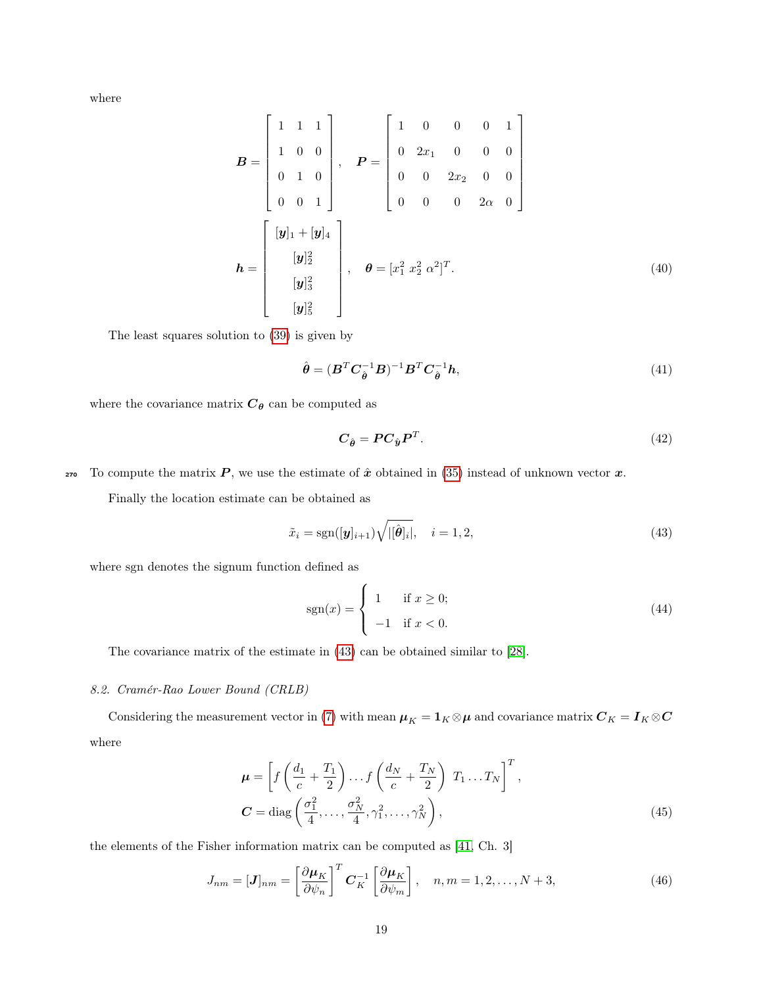where

$$
\mathbf{B} = \begin{bmatrix} 1 & 1 & 1 \\ 1 & 0 & 0 \\ 0 & 1 & 0 \\ 0 & 0 & 1 \end{bmatrix}, \quad \mathbf{P} = \begin{bmatrix} 1 & 0 & 0 & 0 & 1 \\ 0 & 2x_1 & 0 & 0 & 0 \\ 0 & 0 & 2x_2 & 0 & 0 \\ 0 & 0 & 0 & 2\alpha & 0 \end{bmatrix}
$$

$$
\mathbf{h} = \begin{bmatrix} [\mathbf{y}]_1 + [\mathbf{y}]_4 \\ [\mathbf{y}]_2^2 \\ [\mathbf{y}]_3^2 \\ [\mathbf{y}]_5^2 \end{bmatrix}, \quad \boldsymbol{\theta} = [x_1^2 \ x_2^2 \ \alpha^2]^T. \tag{40}
$$

The least squares solution to [\(39\)](#page-18-4) is given by

$$
\hat{\boldsymbol{\theta}} = (\boldsymbol{B}^T \boldsymbol{C}_{\hat{\boldsymbol{\theta}}}^{-1} \boldsymbol{B})^{-1} \boldsymbol{B}^T \boldsymbol{C}_{\hat{\boldsymbol{\theta}}}^{-1} \boldsymbol{h},\tag{41}
$$

where the covariance matrix  $\boldsymbol{C}_{\theta}$  can be computed as

<span id="page-19-1"></span>
$$
C_{\hat{\theta}} = P C_{\hat{y}} P^T. \tag{42}
$$

270 To compute the matrix  $P$ , we use the estimate of  $\hat{x}$  obtained in [\(35\)](#page-18-5) instead of unknown vector  $\hat{x}$ .

Finally the location estimate can be obtained as

$$
\tilde{x}_i = \text{sgn}([\mathbf{y}]_{i+1}) \sqrt{|\left[\hat{\boldsymbol{\theta}}\right]_i|}, \quad i = 1, 2,\tag{43}
$$

where sgn denotes the signum function defined as

<span id="page-19-2"></span>
$$
sgn(x) = \begin{cases} 1 & \text{if } x \ge 0; \\ -1 & \text{if } x < 0. \end{cases}
$$
 (44)

The covariance matrix of the estimate in [\(43\)](#page-19-1) can be obtained similar to [\[28\]](#page-24-2).

#### <span id="page-19-0"></span>8.2. Cramér-Rao Lower Bound (CRLB)

Considering the measurement vector in [\(7\)](#page-6-2) with mean  $\mu_K = 1_K \otimes \mu$  and covariance matrix  $C_K = I_K \otimes C$ where

$$
\boldsymbol{\mu} = \left[ f\left(\frac{d_1}{c} + \frac{T_1}{2}\right) \dots f\left(\frac{d_N}{c} + \frac{T_N}{2}\right) T_1 \dots T_N \right]^T,
$$
  

$$
\boldsymbol{C} = \text{diag}\left(\frac{\sigma_1^2}{4}, \dots, \frac{\sigma_N^2}{4}, \gamma_1^2, \dots, \gamma_N^2 \right),
$$
 (45)

the elements of the Fisher information matrix can be computed as [\[41,](#page-25-3) Ch. 3]

$$
J_{nm} = [\boldsymbol{J}]_{nm} = \left[\frac{\partial \boldsymbol{\mu}_K}{\partial \psi_n}\right]^T \boldsymbol{C}_K^{-1} \left[\frac{\partial \boldsymbol{\mu}_K}{\partial \psi_m}\right], \quad n, m = 1, 2, \dots, N+3,
$$
\n(46)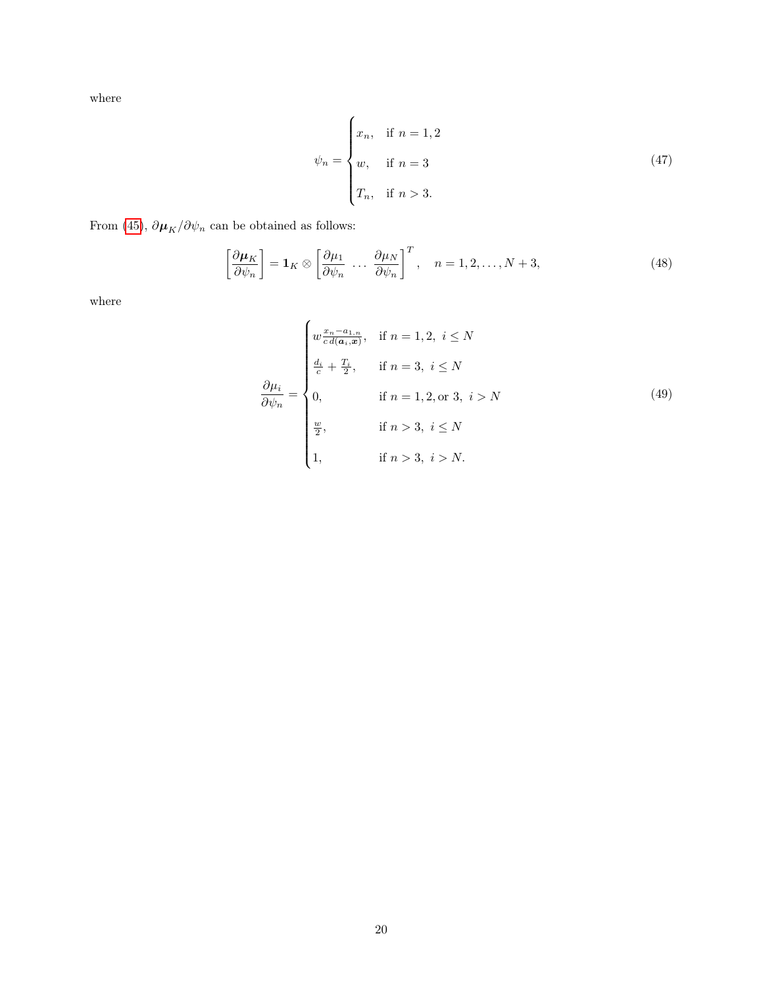where

$$
\psi_n = \begin{cases} x_n, & \text{if } n = 1, 2 \\ w, & \text{if } n = 3 \\ T_n, & \text{if } n > 3. \end{cases}
$$
 (47)

From [\(45\)](#page-19-2),  $\partial \pmb{\mu}_K/\partial \psi_n$  can be obtained as follows:

$$
\left[\frac{\partial \mu_K}{\partial \psi_n}\right] = \mathbf{1}_K \otimes \left[\frac{\partial \mu_1}{\partial \psi_n} \cdots \frac{\partial \mu_N}{\partial \psi_n}\right]^T, \quad n = 1, 2, \dots, N+3,
$$
\n(48)

where

$$
\frac{\partial \mu_i}{\partial \psi_n} = \begin{cases}\n w \frac{x_n - a_{1,n}}{c} & \text{if } n = 1, 2, i \le N \\
 \frac{d_i}{c} + \frac{T_i}{2}, & \text{if } n = 3, i \le N \\
 0, & \text{if } n = 1, 2, \text{or } 3, i > N \\
 \frac{w}{2}, & \text{if } n > 3, i \le N \\
 1, & \text{if } n > 3, i > N.\n\end{cases}
$$
\n(49)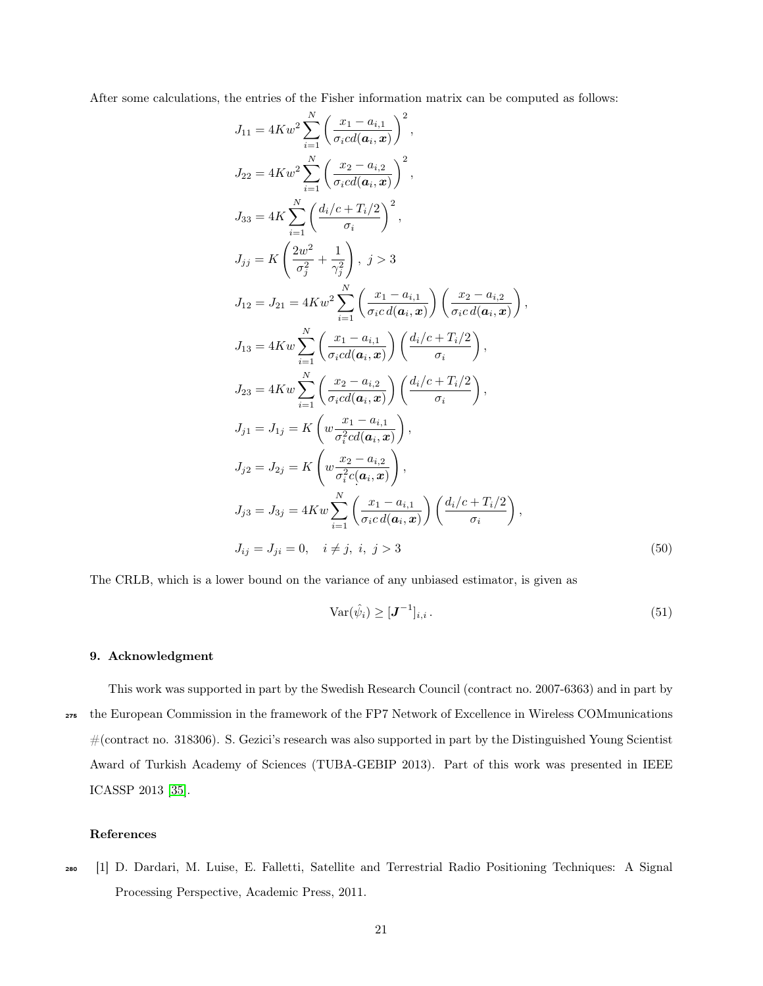After some calculations, the entries of the Fisher information matrix can be computed as follows:

$$
J_{11} = 4Kw^{2} \sum_{i=1}^{N} \left( \frac{x_{1} - a_{i,1}}{\sigma_{i}cd(a_{i}, x)} \right)^{2},
$$
  
\n
$$
J_{22} = 4Kw^{2} \sum_{i=1}^{N} \left( \frac{x_{2} - a_{i,2}}{\sigma_{i}cd(a_{i}, x)} \right)^{2},
$$
  
\n
$$
J_{33} = 4K \sum_{i=1}^{N} \left( \frac{d_{i}/c + T_{i}/2}{\sigma_{i}} \right)^{2},
$$
  
\n
$$
J_{j j} = K \left( \frac{2w^{2}}{\sigma_{j}^{2}} + \frac{1}{\gamma_{j}^{2}} \right), j > 3
$$
  
\n
$$
J_{12} = J_{21} = 4Kw^{2} \sum_{i=1}^{N} \left( \frac{x_{1} - a_{i,1}}{\sigma_{i}cd(a_{i}, x)} \right) \left( \frac{x_{2} - a_{i,2}}{\sigma_{i}cd(a_{i}, x)} \right),
$$
  
\n
$$
J_{13} = 4Kw \sum_{i=1}^{N} \left( \frac{x_{1} - a_{i,1}}{\sigma_{i}cd(a_{i}, x)} \right) \left( \frac{d_{i}/c + T_{i}/2}{\sigma_{i}} \right),
$$
  
\n
$$
J_{23} = 4Kw \sum_{i=1}^{N} \left( \frac{x_{2} - a_{i,2}}{\sigma_{i}cd(a_{i}, x)} \right) \left( \frac{d_{i}/c + T_{i}/2}{\sigma_{i}} \right),
$$
  
\n
$$
J_{j1} = J_{1j} = K \left( w \frac{x_{1} - a_{i,1}}{\sigma_{i}^{2}cd(a_{i}, x)} \right),
$$
  
\n
$$
J_{j2} = J_{2j} = K \left( w \frac{x_{2} - a_{i,2}}{\sigma_{i}^{2}cd(a_{i}, x)} \right),
$$
  
\n
$$
J_{j3} = J_{3j} = 4Kw \sum_{i=1}^{N} \left( \frac{x_{1} - a_{i,1}}{\sigma_{i}cd(a_{i}, x)} \right) \left( \frac{d_{i}/c + T_{i}/2}{\sigma_{i}} \right),
$$
  
\n
$$
J_{i j} =
$$

The CRLB, which is a lower bound on the variance of any unbiased estimator, is given as

$$
\text{Var}(\hat{\psi}_i) \geq [\mathbf{J}^{-1}]_{i,i} \,. \tag{51}
$$

#### 9. Acknowledgment

This work was supported in part by the Swedish Research Council (contract no. 2007-6363) and in part by <sup>275</sup> the European Commission in the framework of the FP7 Network of Excellence in Wireless COMmunications #(contract no. 318306). S. Gezici's research was also supported in part by the Distinguished Young Scientist Award of Turkish Academy of Sciences (TUBA-GEBIP 2013). Part of this work was presented in IEEE ICASSP 2013 [\[35\]](#page-24-9).

#### <span id="page-21-0"></span>References

<sup>280</sup> [1] D. Dardari, M. Luise, E. Falletti, Satellite and Terrestrial Radio Positioning Techniques: A Signal Processing Perspective, Academic Press, 2011.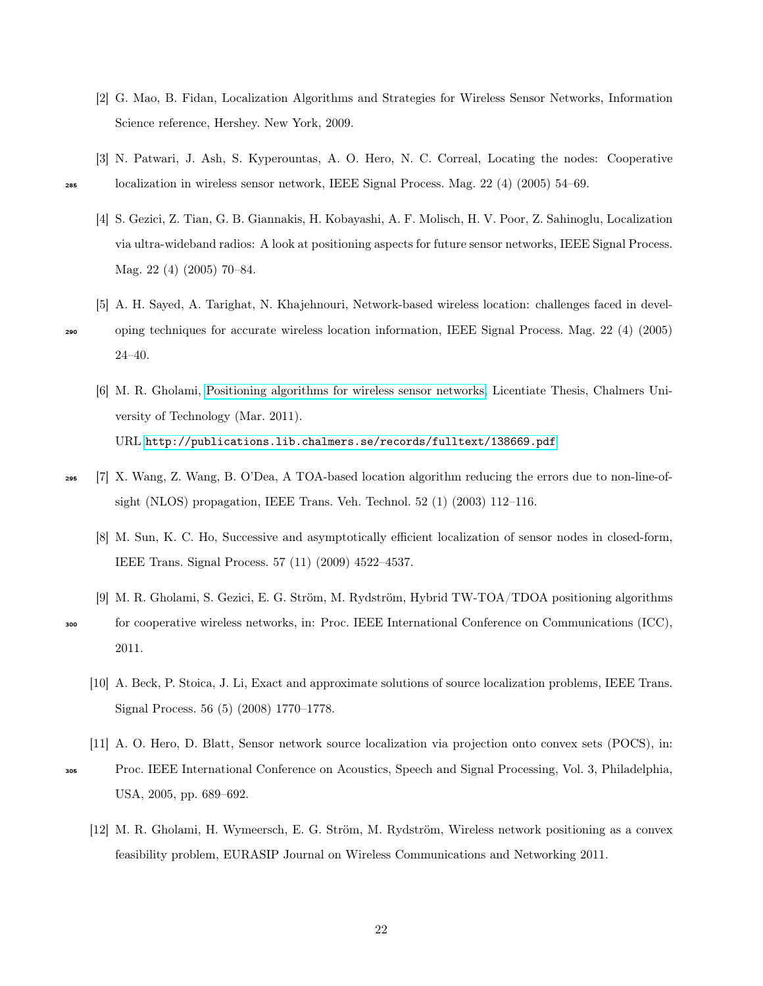- <span id="page-22-0"></span>[2] G. Mao, B. Fidan, Localization Algorithms and Strategies for Wireless Sensor Networks, Information Science reference, Hershey. New York, 2009.
- <span id="page-22-2"></span><span id="page-22-1"></span>[3] N. Patwari, J. Ash, S. Kyperountas, A. O. Hero, N. C. Correal, Locating the nodes: Cooperative <sup>285</sup> localization in wireless sensor network, IEEE Signal Process. Mag. 22 (4) (2005) 54–69.
	- [4] S. Gezici, Z. Tian, G. B. Giannakis, H. Kobayashi, A. F. Molisch, H. V. Poor, Z. Sahinoglu, Localization via ultra-wideband radios: A look at positioning aspects for future sensor networks, IEEE Signal Process. Mag. 22 (4) (2005) 70–84.
- <span id="page-22-4"></span><span id="page-22-3"></span>[5] A. H. Sayed, A. Tarighat, N. Khajehnouri, Network-based wireless location: challenges faced in devel-<sup>290</sup> oping techniques for accurate wireless location information, IEEE Signal Process. Mag. 22 (4) (2005) 24–40.
	- [6] M. R. Gholami, [Positioning algorithms for wireless sensor networks,](http://publications.lib.chalmers.se/records/fulltext/138669.pdf) Licentiate Thesis, Chalmers University of Technology (Mar. 2011). URL <http://publications.lib.chalmers.se/records/fulltext/138669.pdf>
- <span id="page-22-7"></span><span id="page-22-6"></span><span id="page-22-5"></span><sup>295</sup> [7] X. Wang, Z. Wang, B. O'Dea, A TOA-based location algorithm reducing the errors due to non-line-ofsight (NLOS) propagation, IEEE Trans. Veh. Technol.  $52(1)(2003)$  112–116.
	- [8] M. Sun, K. C. Ho, Successive and asymptotically efficient localization of sensor nodes in closed-form, IEEE Trans. Signal Process. 57 (11) (2009) 4522–4537.
	- [9] M. R. Gholami, S. Gezici, E. G. Ström, M. Rydström, Hybrid TW-TOA/TDOA positioning algorithms <sup>300</sup> for cooperative wireless networks, in: Proc. IEEE International Conference on Communications (ICC), 2011.
		- [10] A. Beck, P. Stoica, J. Li, Exact and approximate solutions of source localization problems, IEEE Trans. Signal Process. 56 (5) (2008) 1770–1778.
- <span id="page-22-10"></span><span id="page-22-9"></span><span id="page-22-8"></span>[11] A. O. Hero, D. Blatt, Sensor network source localization via projection onto convex sets (POCS), in: <sup>305</sup> Proc. IEEE International Conference on Acoustics, Speech and Signal Processing, Vol. 3, Philadelphia, USA, 2005, pp. 689–692.
	- [12] M. R. Gholami, H. Wymeersch, E. G. Ström, M. Rydström, Wireless network positioning as a convex feasibility problem, EURASIP Journal on Wireless Communications and Networking 2011.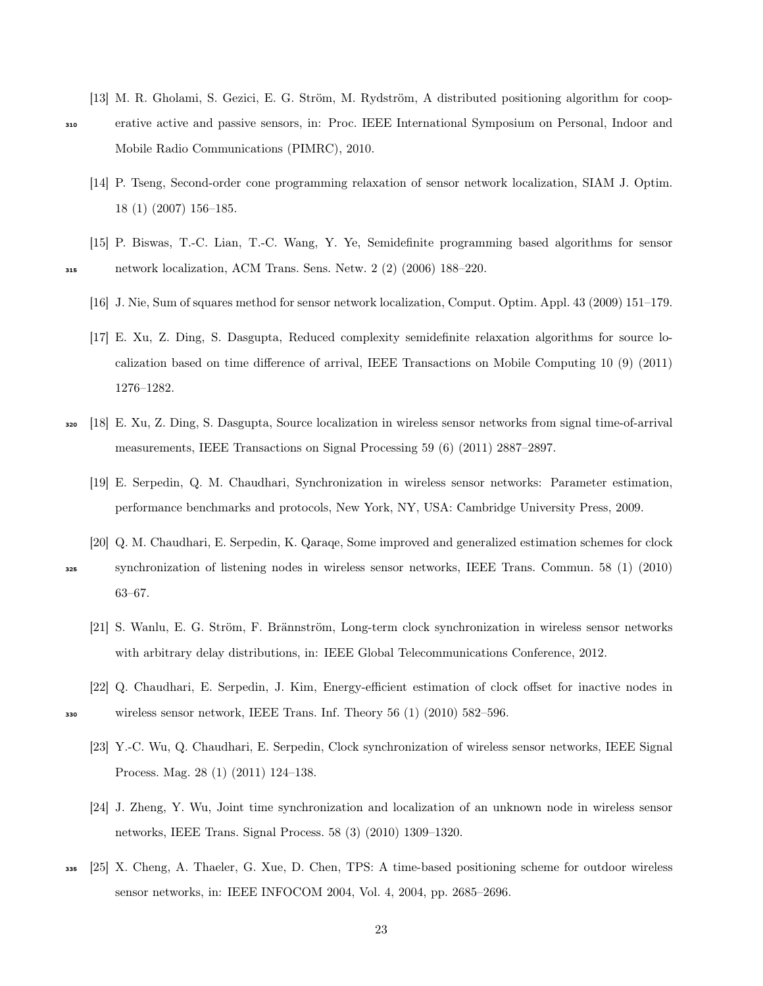<span id="page-23-0"></span>[13] M. R. Gholami, S. Gezici, E. G. Ström, M. Rydström, A distributed positioning algorithm for coop-

- <span id="page-23-1"></span><sup>310</sup> erative active and passive sensors, in: Proc. IEEE International Symposium on Personal, Indoor and Mobile Radio Communications (PIMRC), 2010.
	- [14] P. Tseng, Second-order cone programming relaxation of sensor network localization, SIAM J. Optim. 18 (1) (2007) 156–185.
- <span id="page-23-4"></span><span id="page-23-3"></span><span id="page-23-2"></span>[15] P. Biswas, T.-C. Lian, T.-C. Wang, Y. Ye, Semidefinite programming based algorithms for sensor <sup>315</sup> network localization, ACM Trans. Sens. Netw. 2 (2) (2006) 188–220.
	- [16] J. Nie, Sum of squares method for sensor network localization, Comput. Optim. Appl. 43 (2009) 151–179.
	- [17] E. Xu, Z. Ding, S. Dasgupta, Reduced complexity semidefinite relaxation algorithms for source localization based on time difference of arrival, IEEE Transactions on Mobile Computing 10 (9) (2011) 1276–1282.
- <span id="page-23-6"></span><span id="page-23-5"></span><sup>320</sup> [18] E. Xu, Z. Ding, S. Dasgupta, Source localization in wireless sensor networks from signal time-of-arrival measurements, IEEE Transactions on Signal Processing 59 (6) (2011) 2887–2897.
	- [19] E. Serpedin, Q. M. Chaudhari, Synchronization in wireless sensor networks: Parameter estimation, performance benchmarks and protocols, New York, NY, USA: Cambridge University Press, 2009.
	- [20] Q. M. Chaudhari, E. Serpedin, K. Qaraqe, Some improved and generalized estimation schemes for clock
- <span id="page-23-8"></span><span id="page-23-7"></span><sup>325</sup> synchronization of listening nodes in wireless sensor networks, IEEE Trans. Commun. 58 (1) (2010) 63–67.
	- [21] S. Wanlu, E. G. Ström, F. Brännström, Long-term clock synchronization in wireless sensor networks with arbitrary delay distributions, in: IEEE Global Telecommunications Conference, 2012.
- <span id="page-23-10"></span><span id="page-23-9"></span>[22] Q. Chaudhari, E. Serpedin, J. Kim, Energy-efficient estimation of clock offset for inactive nodes in <sup>330</sup> wireless sensor network, IEEE Trans. Inf. Theory 56 (1) (2010) 582–596.
	- [23] Y.-C. Wu, Q. Chaudhari, E. Serpedin, Clock synchronization of wireless sensor networks, IEEE Signal Process. Mag. 28 (1) (2011) 124–138.
	- [24] J. Zheng, Y. Wu, Joint time synchronization and localization of an unknown node in wireless sensor networks, IEEE Trans. Signal Process. 58 (3) (2010) 1309–1320.
- <span id="page-23-12"></span><span id="page-23-11"></span><sup>335</sup> [25] X. Cheng, A. Thaeler, G. Xue, D. Chen, TPS: A time-based positioning scheme for outdoor wireless sensor networks, in: IEEE INFOCOM 2004, Vol. 4, 2004, pp. 2685–2696.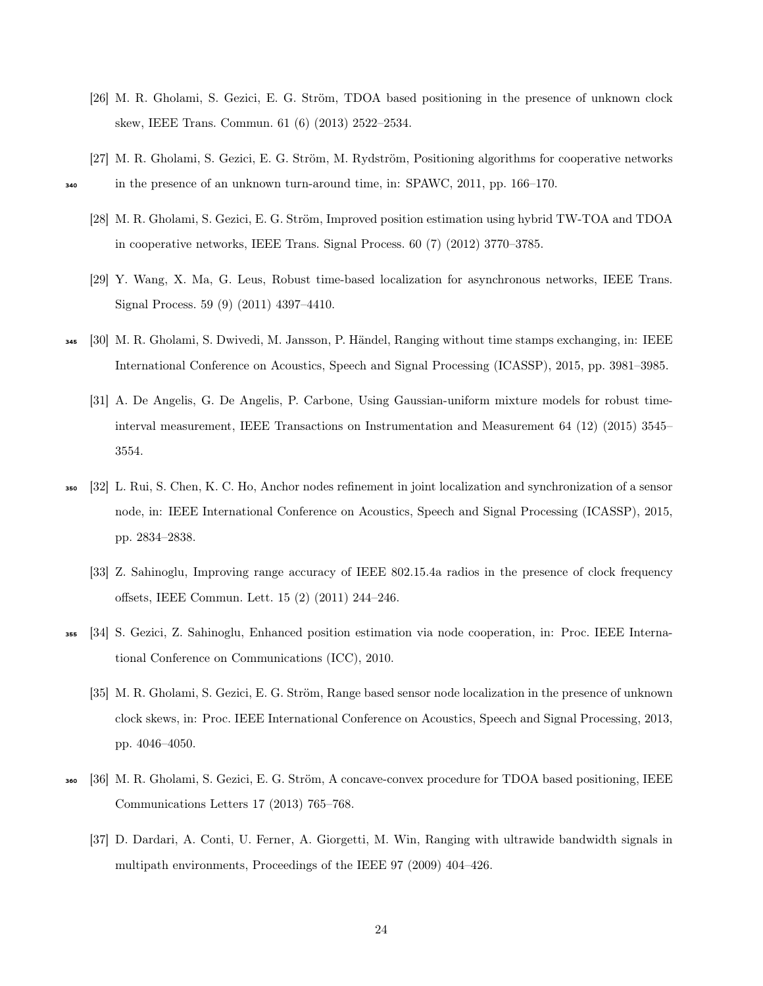- <span id="page-24-0"></span>[26] M. R. Gholami, S. Gezici, E. G. Ström, TDOA based positioning in the presence of unknown clock skew, IEEE Trans. Commun. 61 (6) (2013) 2522–2534.
- <span id="page-24-2"></span><span id="page-24-1"></span>[27] M. R. Gholami, S. Gezici, E. G. Ström, M. Rydström, Positioning algorithms for cooperative networks <sup>340</sup> in the presence of an unknown turn-around time, in: SPAWC, 2011, pp. 166–170.
	- [28] M. R. Gholami, S. Gezici, E. G. Ström, Improved position estimation using hybrid TW-TOA and TDOA in cooperative networks, IEEE Trans. Signal Process. 60 (7) (2012) 3770–3785.
	- [29] Y. Wang, X. Ma, G. Leus, Robust time-based localization for asynchronous networks, IEEE Trans. Signal Process. 59 (9) (2011) 4397–4410.
- <span id="page-24-5"></span><span id="page-24-4"></span><span id="page-24-3"></span><sup>345</sup> [30] M. R. Gholami, S. Dwivedi, M. Jansson, P. Händel, Ranging without time stamps exchanging, in: IEEE International Conference on Acoustics, Speech and Signal Processing (ICASSP), 2015, pp. 3981–3985.
	- [31] A. De Angelis, G. De Angelis, P. Carbone, Using Gaussian-uniform mixture models for robust timeinterval measurement, IEEE Transactions on Instrumentation and Measurement 64 (12) (2015) 3545– 3554.
- <span id="page-24-7"></span><span id="page-24-6"></span><sup>350</sup> [32] L. Rui, S. Chen, K. C. Ho, Anchor nodes refinement in joint localization and synchronization of a sensor node, in: IEEE International Conference on Acoustics, Speech and Signal Processing (ICASSP), 2015, pp. 2834–2838.
	- [33] Z. Sahinoglu, Improving range accuracy of IEEE 802.15.4a radios in the presence of clock frequency offsets, IEEE Commun. Lett. 15 (2) (2011) 244–246.
- <span id="page-24-9"></span><span id="page-24-8"></span><sup>355</sup> [34] S. Gezici, Z. Sahinoglu, Enhanced position estimation via node cooperation, in: Proc. IEEE International Conference on Communications (ICC), 2010.
	- [35] M. R. Gholami, S. Gezici, E. G. Ström, Range based sensor node localization in the presence of unknown clock skews, in: Proc. IEEE International Conference on Acoustics, Speech and Signal Processing, 2013, pp. 4046–4050.
- <span id="page-24-11"></span><span id="page-24-10"></span><sup>360</sup> [36] M. R. Gholami, S. Gezici, E. G. Ström, A concave-convex procedure for TDOA based positioning, IEEE Communications Letters 17 (2013) 765–768.
	- [37] D. Dardari, A. Conti, U. Ferner, A. Giorgetti, M. Win, Ranging with ultrawide bandwidth signals in multipath environments, Proceedings of the IEEE 97 (2009) 404–426.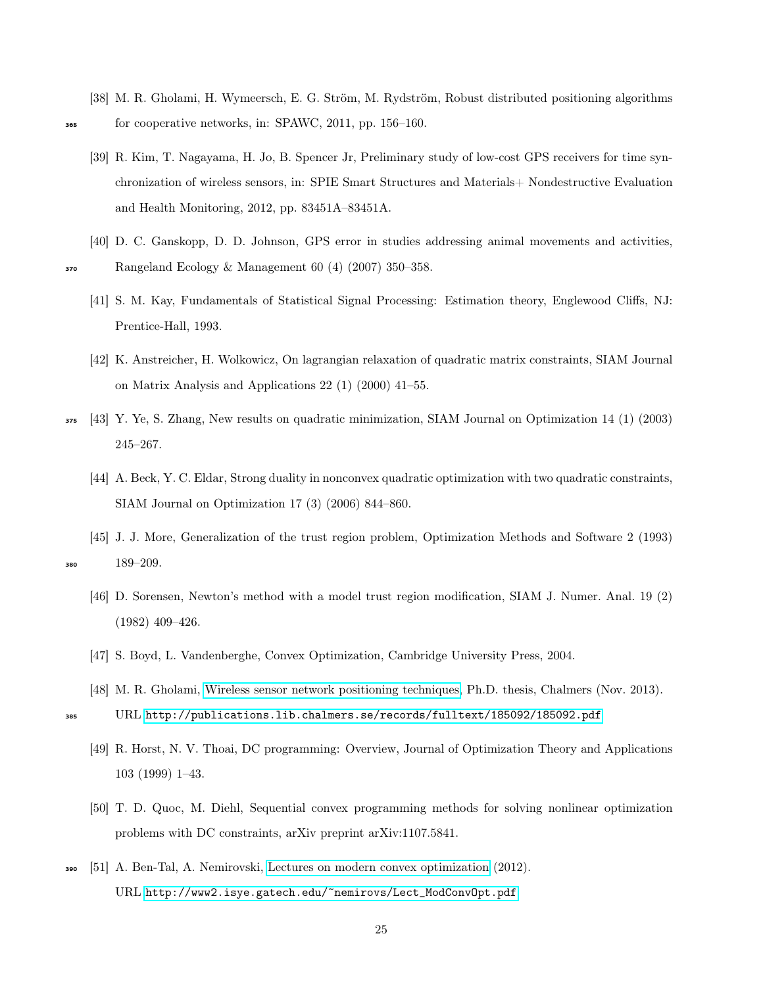- <span id="page-25-0"></span>[38] M. R. Gholami, H. Wymeersch, E. G. Ström, M. Rydström, Robust distributed positioning algorithms for cooperative networks, in: SPAWC, 2011, pp. 156–160.
- 
- <span id="page-25-1"></span>[39] R. Kim, T. Nagayama, H. Jo, B. Spencer Jr, Preliminary study of low-cost GPS receivers for time synchronization of wireless sensors, in: SPIE Smart Structures and Materials+ Nondestructive Evaluation and Health Monitoring, 2012, pp. 83451A–83451A.
- <span id="page-25-3"></span><span id="page-25-2"></span>[40] D. C. Ganskopp, D. D. Johnson, GPS error in studies addressing animal movements and activities, <sup>370</sup> Rangeland Ecology & Management 60 (4) (2007) 350–358.
	- [41] S. M. Kay, Fundamentals of Statistical Signal Processing: Estimation theory, Englewood Cliffs, NJ: Prentice-Hall, 1993.
	- [42] K. Anstreicher, H. Wolkowicz, On lagrangian relaxation of quadratic matrix constraints, SIAM Journal on Matrix Analysis and Applications 22 (1) (2000) 41–55.
- <span id="page-25-6"></span><span id="page-25-5"></span><span id="page-25-4"></span><sup>375</sup> [43] Y. Ye, S. Zhang, New results on quadratic minimization, SIAM Journal on Optimization 14 (1) (2003) 245–267.
	- [44] A. Beck, Y. C. Eldar, Strong duality in nonconvex quadratic optimization with two quadratic constraints, SIAM Journal on Optimization 17 (3) (2006) 844–860.
- <span id="page-25-10"></span><span id="page-25-9"></span><span id="page-25-8"></span><span id="page-25-7"></span>[45] J. J. More, Generalization of the trust region problem, Optimization Methods and Software 2 (1993) 380  $189-209$ .
	- [46] D. Sorensen, Newton's method with a model trust region modification, SIAM J. Numer. Anal. 19 (2) (1982) 409–426.
	- [47] S. Boyd, L. Vandenberghe, Convex Optimization, Cambridge University Press, 2004.
	- [48] M. R. Gholami, [Wireless sensor network positioning techniques,](http://publications.lib.chalmers.se/records/fulltext/185092/185092.pdf) Ph.D. thesis, Chalmers (Nov. 2013).
	- URL <http://publications.lib.chalmers.se/records/fulltext/185092/185092.pdf>
	- [49] R. Horst, N. V. Thoai, DC programming: Overview, Journal of Optimization Theory and Applications 103 (1999) 1–43.
	- [50] T. D. Quoc, M. Diehl, Sequential convex programming methods for solving nonlinear optimization problems with DC constraints, arXiv preprint arXiv:1107.5841.
- <span id="page-25-13"></span><span id="page-25-12"></span><span id="page-25-11"></span><sup>390</sup> [51] A. Ben-Tal, A. Nemirovski, [Lectures on modern convex optimization](http://www2.isye.gatech.edu/~nemirovs/Lect_ModConvOpt.pdf) (2012). URL [http://www2.isye.gatech.edu/~nemirovs/Lect\\_ModConvOpt.pdf](http://www2.isye.gatech.edu/~nemirovs/Lect_ModConvOpt.pdf)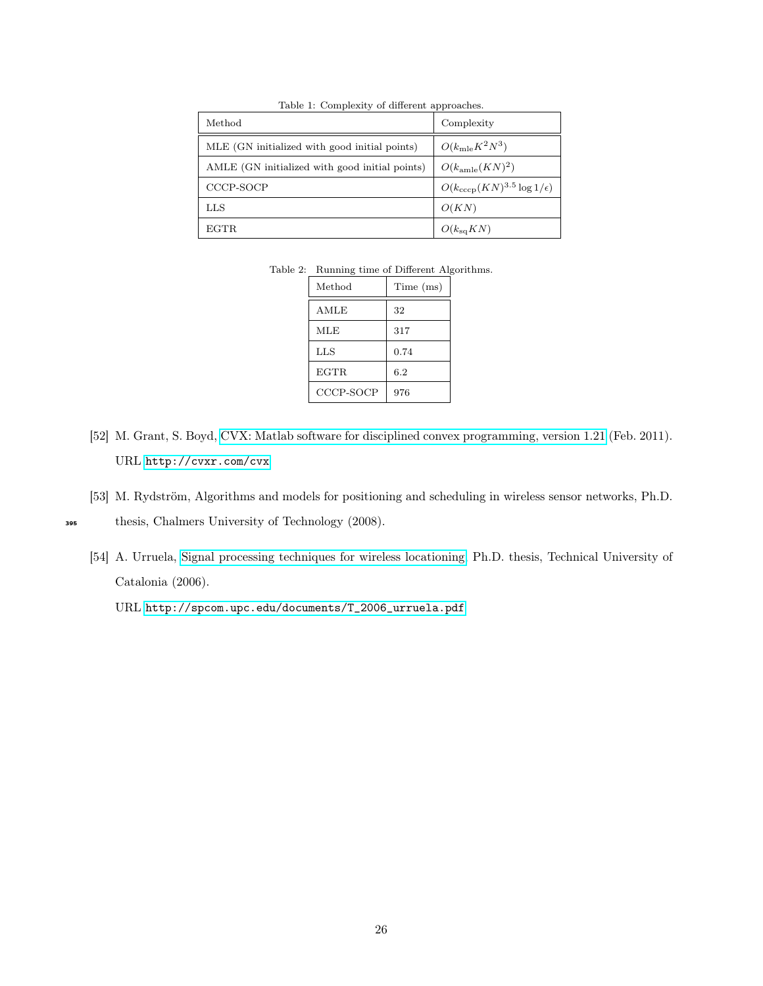<span id="page-26-0"></span>

| Method                                         | Complexity                                 |
|------------------------------------------------|--------------------------------------------|
| MLE (GN initialized with good initial points)  | $O(k_{\rm mle} K^2 N^3)$                   |
| AMLE (GN initialized with good initial points) | $O(k_{\text{amle}}(KN)^2)$                 |
| CCCP-SOCP                                      | $O(k_{\rm cccp}(KN)^{3.5}\log 1/\epsilon)$ |
| LLS                                            | O(KN)                                      |
| EGTR.                                          | $O(k_{\rm sq}KN)$                          |

Table 1: Complexity of different approaches.

Table 2: Running time of Different Algorithms.

| Method      | Time (ms) |
|-------------|-----------|
| AMLE        | 32        |
| <b>MLE</b>  | 317       |
| LLS         | 0.74      |
| <b>EGTR</b> | 6.2       |
| CCCP-SOCP   | 976       |

- <span id="page-26-2"></span><span id="page-26-1"></span>[52] M. Grant, S. Boyd, [CVX: Matlab software for disciplined convex programming, version 1.21](http://cvxr.com/cvx) (Feb. 2011). URL <http://cvxr.com/cvx>
- <span id="page-26-3"></span>[53] M. Rydström, Algorithms and models for positioning and scheduling in wireless sensor networks, Ph.D.

<span id="page-26-4"></span>

- <sup>395</sup> thesis, Chalmers University of Technology (2008).
	- [54] A. Urruela, [Signal processing techniques for wireless locationing,](http://spcom.upc.edu/documents/T_2006_urruela.pdf) Ph.D. thesis, Technical University of Catalonia (2006).

URL [http://spcom.upc.edu/documents/T\\_2006\\_urruela.pdf](http://spcom.upc.edu/documents/T_2006_urruela.pdf)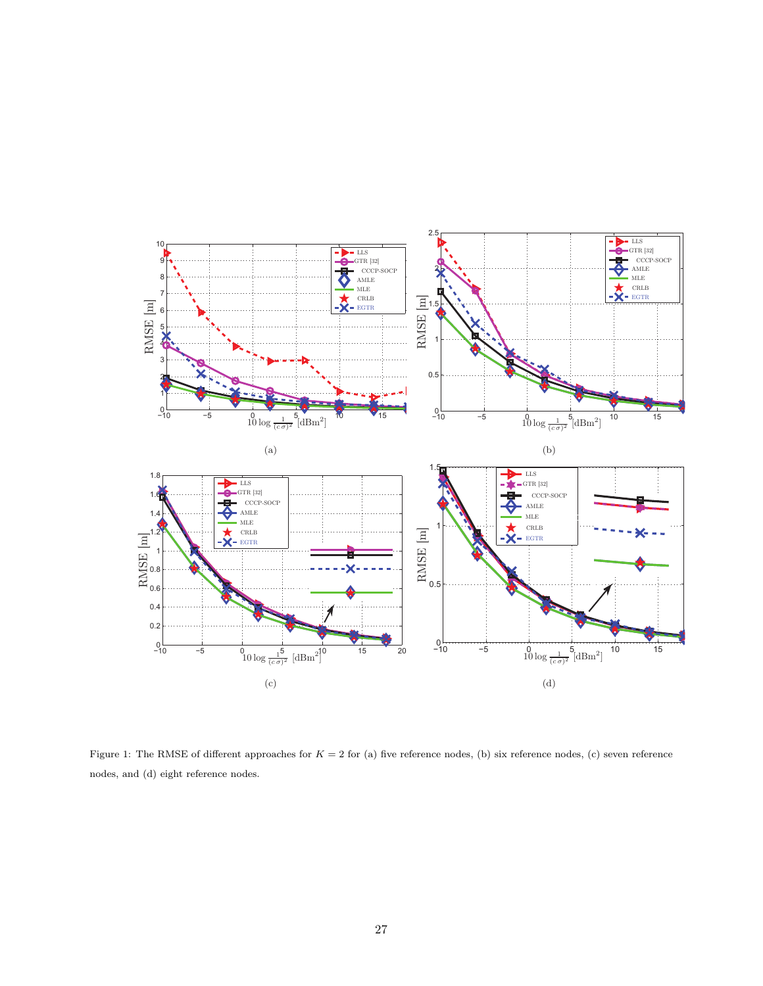

<span id="page-27-0"></span>Figure 1: The RMSE of different approaches for  $K = 2$  for (a) five reference nodes, (b) six reference nodes, (c) seven reference nodes, and (d) eight reference nodes.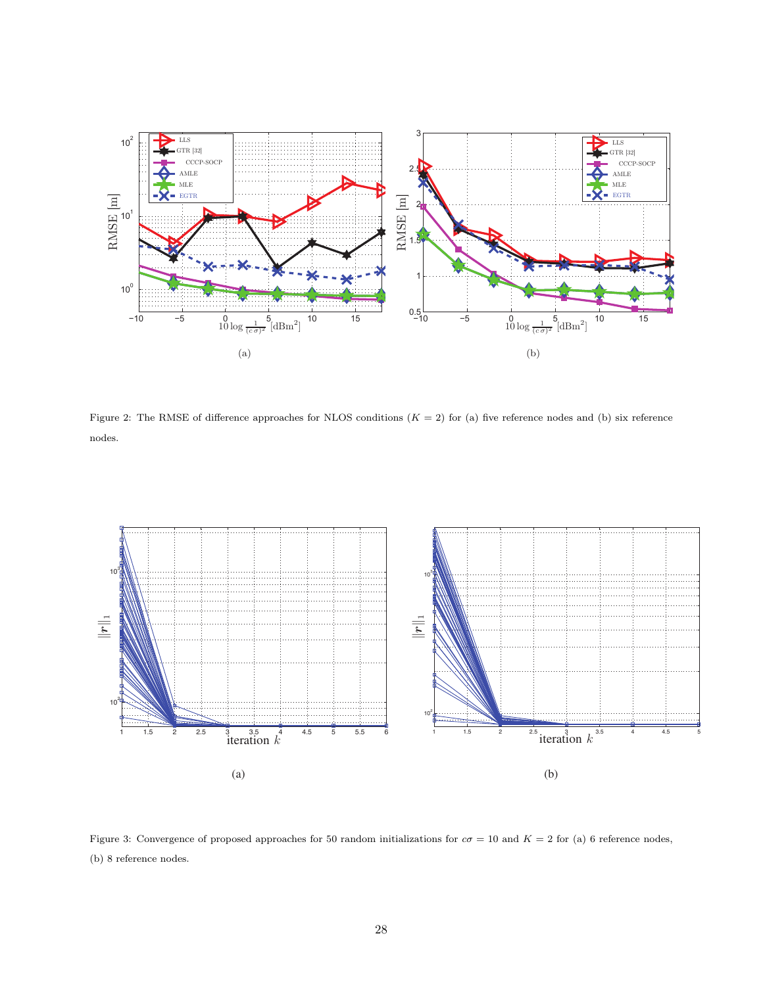

<span id="page-28-0"></span>Figure 2: The RMSE of difference approaches for NLOS conditions  $(K = 2)$  for (a) five reference nodes and (b) six reference nodes.



<span id="page-28-1"></span>Figure 3: Convergence of proposed approaches for 50 random initializations for  $c\sigma = 10$  and  $K = 2$  for (a) 6 reference nodes, (b) 8 reference nodes.